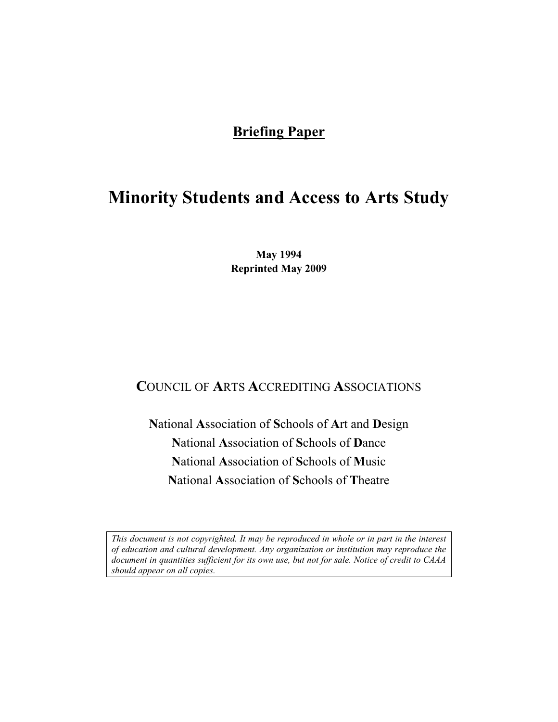# **Briefing Paper**

# **Minority Students and Access to Arts Study**

**May 1994 Reprinted May 2009** 

# **C**OUNCIL OF **A**RTS **A**CCREDITING **A**SSOCIATIONS

**N**ational **A**ssociation of **S**chools of **A**rt and **D**esign **N**ational **A**ssociation of **S**chools of **D**ance **N**ational **A**ssociation of **S**chools of **M**usic **N**ational **A**ssociation of **S**chools of **T**heatre

*This document is not copyrighted. It may be reproduced in whole or in part in the interest of education and cultural development. Any organization or institution may reproduce the document in quantities sufficient for its own use, but not for sale. Notice of credit to CAAA should appear on all copies.*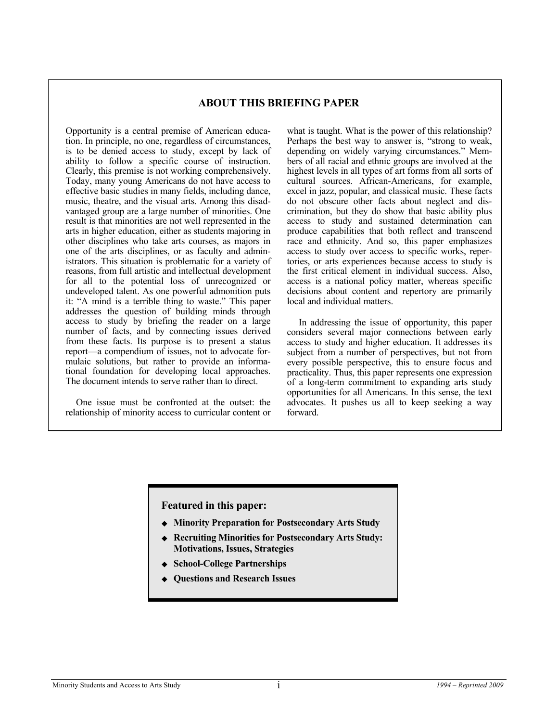#### **ABOUT THIS BRIEFING PAPER**

Opportunity is a central premise of American education. In principle, no one, regardless of circumstances, is to be denied access to study, except by lack of ability to follow a specific course of instruction. Clearly, this premise is not working comprehensively. Today, many young Americans do not have access to effective basic studies in many fields, including dance, music, theatre, and the visual arts. Among this disadvantaged group are a large number of minorities. One result is that minorities are not well represented in the arts in higher education, either as students majoring in other disciplines who take arts courses, as majors in one of the arts disciplines, or as faculty and administrators. This situation is problematic for a variety of reasons, from full artistic and intellectual development for all to the potential loss of unrecognized or undeveloped talent. As one powerful admonition puts it: "A mind is a terrible thing to waste." This paper addresses the question of building minds through access to study by briefing the reader on a large number of facts, and by connecting issues derived from these facts. Its purpose is to present a status report—a compendium of issues, not to advocate formulaic solutions, but rather to provide an informational foundation for developing local approaches. The document intends to serve rather than to direct.

 One issue must be confronted at the outset: the relationship of minority access to curricular content or what is taught. What is the power of this relationship? Perhaps the best way to answer is, "strong to weak, depending on widely varying circumstances." Members of all racial and ethnic groups are involved at the highest levels in all types of art forms from all sorts of cultural sources. African-Americans, for example, excel in jazz, popular, and classical music. These facts do not obscure other facts about neglect and discrimination, but they do show that basic ability plus access to study and sustained determination can produce capabilities that both reflect and transcend race and ethnicity. And so, this paper emphasizes access to study over access to specific works, repertories, or arts experiences because access to study is the first critical element in individual success. Also, access is a national policy matter, whereas specific decisions about content and repertory are primarily local and individual matters.

 In addressing the issue of opportunity, this paper considers several major connections between early access to study and higher education. It addresses its subject from a number of perspectives, but not from every possible perspective, this to ensure focus and practicality. Thus, this paper represents one expression of a long-term commitment to expanding arts study opportunities for all Americans. In this sense, the text advocates. It pushes us all to keep seeking a way forward.

#### **Featured in this paper:**

- **Minority Preparation for Postsecondary Arts Study**
- **Recruiting Minorities for Postsecondary Arts Study: Motivations, Issues, Strategies**
- **School-College Partnerships**
- **Questions and Research Issues**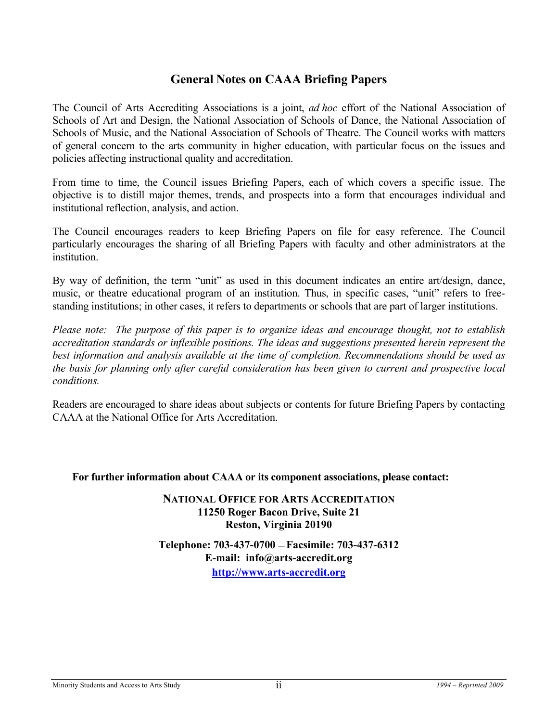# **General Notes on CAAA Briefing Papers**

The Council of Arts Accrediting Associations is a joint, *ad hoc* effort of the National Association of Schools of Art and Design, the National Association of Schools of Dance, the National Association of Schools of Music, and the National Association of Schools of Theatre. The Council works with matters of general concern to the arts community in higher education, with particular focus on the issues and policies affecting instructional quality and accreditation.

From time to time, the Council issues Briefing Papers, each of which covers a specific issue. The objective is to distill major themes, trends, and prospects into a form that encourages individual and institutional reflection, analysis, and action.

The Council encourages readers to keep Briefing Papers on file for easy reference. The Council particularly encourages the sharing of all Briefing Papers with faculty and other administrators at the institution.

By way of definition, the term "unit" as used in this document indicates an entire art/design, dance, music, or theatre educational program of an institution. Thus, in specific cases, "unit" refers to freestanding institutions; in other cases, it refers to departments or schools that are part of larger institutions.

*Please note: The purpose of this paper is to organize ideas and encourage thought, not to establish accreditation standards or inflexible positions. The ideas and suggestions presented herein represent the best information and analysis available at the time of completion. Recommendations should be used as the basis for planning only after careful consideration has been given to current and prospective local conditions.*

Readers are encouraged to share ideas about subjects or contents for future Briefing Papers by contacting CAAA at the National Office for Arts Accreditation.

#### **For further information about CAAA or its component associations, please contact:**

### **NATIONAL OFFICE FOR ARTS ACCREDITATION 11250 Roger Bacon Drive, Suite 21 Reston, Virginia 20190**

**Telephone: 703-437-0700** — **Facsimile: 703-437-6312 E-mail: info@arts-accredit.org [http://www.arts-accredit.org](http://www.arts-accredit.org/)**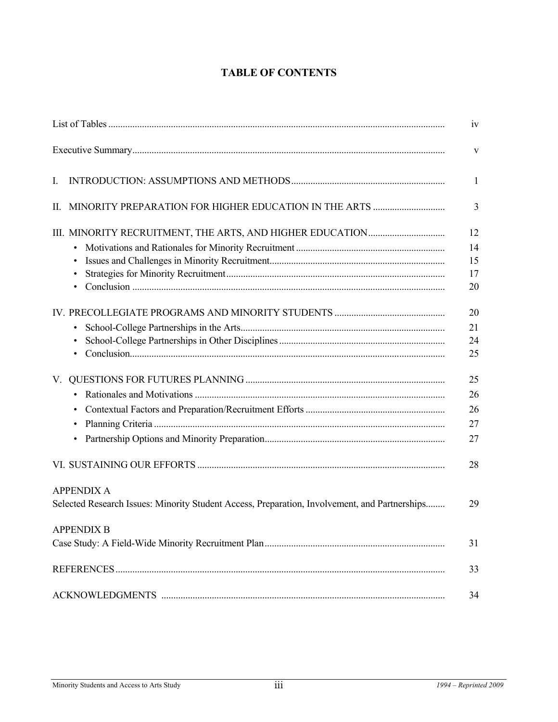# **TABLE OF CONTENTS**

|                                                                                               | iv           |
|-----------------------------------------------------------------------------------------------|--------------|
|                                                                                               | V            |
| L                                                                                             | $\mathbf{1}$ |
| Н.                                                                                            | 3            |
|                                                                                               | 12           |
|                                                                                               | 14           |
|                                                                                               | 15           |
|                                                                                               | 17           |
|                                                                                               | 20           |
|                                                                                               | 20           |
| $\bullet$                                                                                     | 21           |
|                                                                                               | 24           |
|                                                                                               | 25           |
| V.                                                                                            | 25           |
| $\bullet$                                                                                     | 26           |
| $\bullet$                                                                                     | 26           |
| $\bullet$                                                                                     | 27           |
| $\bullet$                                                                                     | 27           |
|                                                                                               | 28           |
| <b>APPENDIX A</b>                                                                             |              |
| Selected Research Issues: Minority Student Access, Preparation, Involvement, and Partnerships | 29           |
| <b>APPENDIX B</b>                                                                             |              |
|                                                                                               | 31           |
|                                                                                               | 33           |
|                                                                                               | 34           |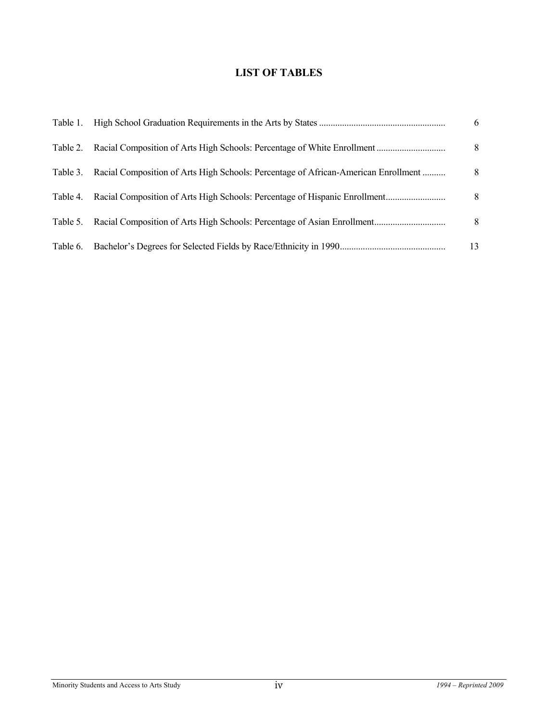# **LIST OF TABLES**

| Table 1. |                                                                                    | 6  |
|----------|------------------------------------------------------------------------------------|----|
| Table 2. |                                                                                    | 8  |
| Table 3. | Racial Composition of Arts High Schools: Percentage of African-American Enrollment | 8  |
| Table 4. | Racial Composition of Arts High Schools: Percentage of Hispanic Enrollment         | 8  |
| Table 5. |                                                                                    | 8  |
| Table 6. |                                                                                    | 13 |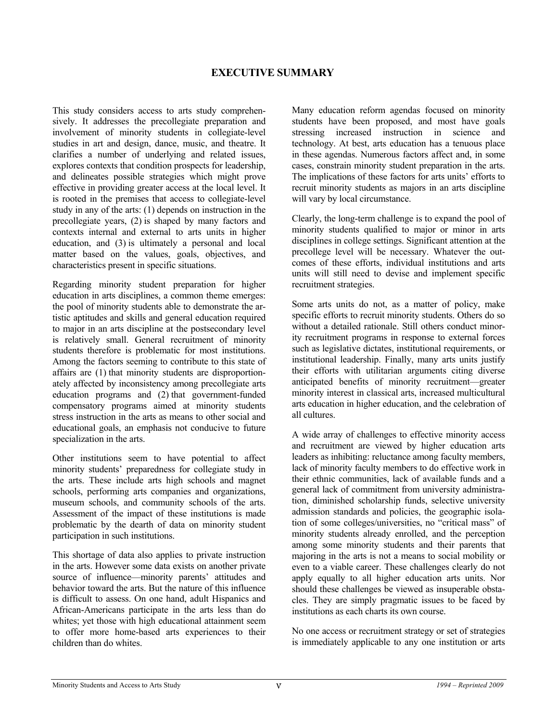### **EXECUTIVE SUMMARY**

This study considers access to arts study comprehensively. It addresses the precollegiate preparation and involvement of minority students in collegiate-level studies in art and design, dance, music, and theatre. It clarifies a number of underlying and related issues, explores contexts that condition prospects for leadership, and delineates possible strategies which might prove effective in providing greater access at the local level. It is rooted in the premises that access to collegiate-level study in any of the arts: (1) depends on instruction in the precollegiate years, (2) is shaped by many factors and contexts internal and external to arts units in higher education, and (3) is ultimately a personal and local matter based on the values, goals, objectives, and characteristics present in specific situations.

Regarding minority student preparation for higher education in arts disciplines, a common theme emerges: the pool of minority students able to demonstrate the artistic aptitudes and skills and general education required to major in an arts discipline at the postsecondary level is relatively small. General recruitment of minority students therefore is problematic for most institutions. Among the factors seeming to contribute to this state of affairs are (1) that minority students are disproportionately affected by inconsistency among precollegiate arts education programs and (2) that government-funded compensatory programs aimed at minority students stress instruction in the arts as means to other social and educational goals, an emphasis not conducive to future specialization in the arts.

Other institutions seem to have potential to affect minority students' preparedness for collegiate study in the arts. These include arts high schools and magnet schools, performing arts companies and organizations, museum schools, and community schools of the arts. Assessment of the impact of these institutions is made problematic by the dearth of data on minority student participation in such institutions.

This shortage of data also applies to private instruction in the arts. However some data exists on another private source of influence—minority parents' attitudes and behavior toward the arts. But the nature of this influence is difficult to assess. On one hand, adult Hispanics and African-Americans participate in the arts less than do whites; yet those with high educational attainment seem to offer more home-based arts experiences to their children than do whites.

Many education reform agendas focused on minority students have been proposed, and most have goals stressing increased instruction in science and technology. At best, arts education has a tenuous place in these agendas. Numerous factors affect and, in some cases, constrain minority student preparation in the arts. The implications of these factors for arts units' efforts to recruit minority students as majors in an arts discipline will vary by local circumstance.

Clearly, the long-term challenge is to expand the pool of minority students qualified to major or minor in arts disciplines in college settings. Significant attention at the precollege level will be necessary. Whatever the outcomes of these efforts, individual institutions and arts units will still need to devise and implement specific recruitment strategies.

Some arts units do not, as a matter of policy, make specific efforts to recruit minority students. Others do so without a detailed rationale. Still others conduct minority recruitment programs in response to external forces such as legislative dictates, institutional requirements, or institutional leadership. Finally, many arts units justify their efforts with utilitarian arguments citing diverse anticipated benefits of minority recruitment—greater minority interest in classical arts, increased multicultural arts education in higher education, and the celebration of all cultures.

A wide array of challenges to effective minority access and recruitment are viewed by higher education arts leaders as inhibiting: reluctance among faculty members, lack of minority faculty members to do effective work in their ethnic communities, lack of available funds and a general lack of commitment from university administration, diminished scholarship funds, selective university admission standards and policies, the geographic isolation of some colleges/universities, no "critical mass" of minority students already enrolled, and the perception among some minority students and their parents that majoring in the arts is not a means to social mobility or even to a viable career. These challenges clearly do not apply equally to all higher education arts units. Nor should these challenges be viewed as insuperable obstacles. They are simply pragmatic issues to be faced by institutions as each charts its own course.

No one access or recruitment strategy or set of strategies is immediately applicable to any one institution or arts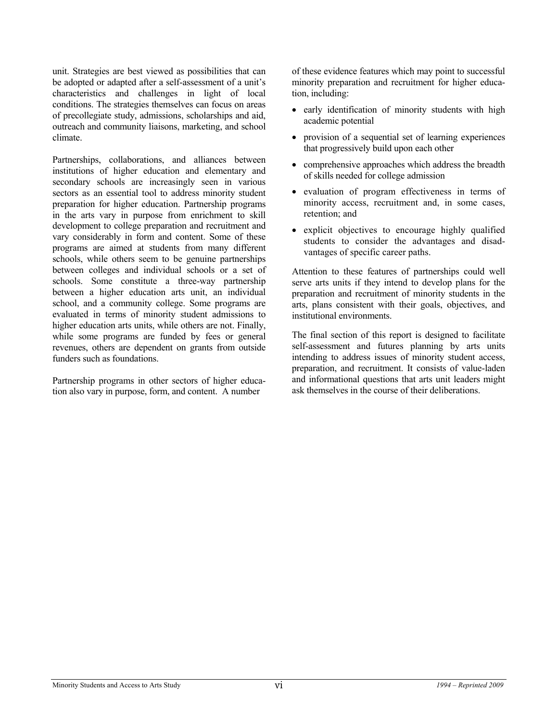unit. Strategies are best viewed as possibilities that can be adopted or adapted after a self-assessment of a unit's characteristics and challenges in light of local conditions. The strategies themselves can focus on areas of precollegiate study, admissions, scholarships and aid, outreach and community liaisons, marketing, and school climate.

Partnerships, collaborations, and alliances between institutions of higher education and elementary and secondary schools are increasingly seen in various sectors as an essential tool to address minority student preparation for higher education. Partnership programs in the arts vary in purpose from enrichment to skill development to college preparation and recruitment and vary considerably in form and content. Some of these programs are aimed at students from many different schools, while others seem to be genuine partnerships between colleges and individual schools or a set of schools. Some constitute a three-way partnership between a higher education arts unit, an individual school, and a community college. Some programs are evaluated in terms of minority student admissions to higher education arts units, while others are not. Finally, while some programs are funded by fees or general revenues, others are dependent on grants from outside funders such as foundations.

Partnership programs in other sectors of higher education also vary in purpose, form, and content. A number

of these evidence features which may point to successful minority preparation and recruitment for higher education, including:

- early identification of minority students with high academic potential
- provision of a sequential set of learning experiences that progressively build upon each other
- comprehensive approaches which address the breadth of skills needed for college admission
- evaluation of program effectiveness in terms of minority access, recruitment and, in some cases, retention; and
- explicit objectives to encourage highly qualified students to consider the advantages and disadvantages of specific career paths.

Attention to these features of partnerships could well serve arts units if they intend to develop plans for the preparation and recruitment of minority students in the arts, plans consistent with their goals, objectives, and institutional environments.

The final section of this report is designed to facilitate self-assessment and futures planning by arts units intending to address issues of minority student access, preparation, and recruitment. It consists of value-laden and informational questions that arts unit leaders might ask themselves in the course of their deliberations.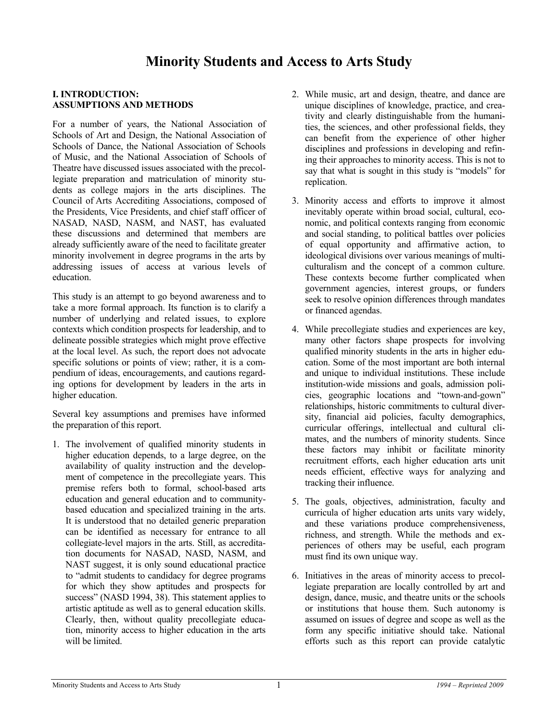#### **I. INTRODUCTION: ASSUMPTIONS AND METHODS**

For a number of years, the National Association of Schools of Art and Design, the National Association of Schools of Dance, the National Association of Schools of Music, and the National Association of Schools of Theatre have discussed issues associated with the precollegiate preparation and matriculation of minority students as college majors in the arts disciplines. The Council of Arts Accrediting Associations, composed of the Presidents, Vice Presidents, and chief staff officer of NASAD, NASD, NASM, and NAST, has evaluated these discussions and determined that members are already sufficiently aware of the need to facilitate greater minority involvement in degree programs in the arts by addressing issues of access at various levels of education.

This study is an attempt to go beyond awareness and to take a more formal approach. Its function is to clarify a number of underlying and related issues, to explore contexts which condition prospects for leadership, and to delineate possible strategies which might prove effective at the local level. As such, the report does not advocate specific solutions or points of view; rather, it is a compendium of ideas, encouragements, and cautions regarding options for development by leaders in the arts in higher education.

Several key assumptions and premises have informed the preparation of this report.

1. The involvement of qualified minority students in higher education depends, to a large degree, on the availability of quality instruction and the development of competence in the precollegiate years. This premise refers both to formal, school-based arts education and general education and to communitybased education and specialized training in the arts. It is understood that no detailed generic preparation can be identified as necessary for entrance to all collegiate-level majors in the arts. Still, as accreditation documents for NASAD, NASD, NASM, and NAST suggest, it is only sound educational practice to "admit students to candidacy for degree programs for which they show aptitudes and prospects for success" (NASD 1994, 38). This statement applies to artistic aptitude as well as to general education skills. Clearly, then, without quality precollegiate education, minority access to higher education in the arts will be limited.

- 2. While music, art and design, theatre, and dance are unique disciplines of knowledge, practice, and creativity and clearly distinguishable from the humanities, the sciences, and other professional fields, they can benefit from the experience of other higher disciplines and professions in developing and refining their approaches to minority access. This is not to say that what is sought in this study is "models" for replication.
- 3. Minority access and efforts to improve it almost inevitably operate within broad social, cultural, economic, and political contexts ranging from economic and social standing, to political battles over policies of equal opportunity and affirmative action, to ideological divisions over various meanings of multiculturalism and the concept of a common culture. These contexts become further complicated when government agencies, interest groups, or funders seek to resolve opinion differences through mandates or financed agendas.
- 4. While precollegiate studies and experiences are key, many other factors shape prospects for involving qualified minority students in the arts in higher education. Some of the most important are both internal and unique to individual institutions. These include institution-wide missions and goals, admission policies, geographic locations and "town-and-gown" relationships, historic commitments to cultural diversity, financial aid policies, faculty demographics, curricular offerings, intellectual and cultural climates, and the numbers of minority students. Since these factors may inhibit or facilitate minority recruitment efforts, each higher education arts unit needs efficient, effective ways for analyzing and tracking their influence.
- 5. The goals, objectives, administration, faculty and curricula of higher education arts units vary widely, and these variations produce comprehensiveness, richness, and strength. While the methods and experiences of others may be useful, each program must find its own unique way.
- 6. Initiatives in the areas of minority access to precollegiate preparation are locally controlled by art and design, dance, music, and theatre units or the schools or institutions that house them. Such autonomy is assumed on issues of degree and scope as well as the form any specific initiative should take. National efforts such as this report can provide catalytic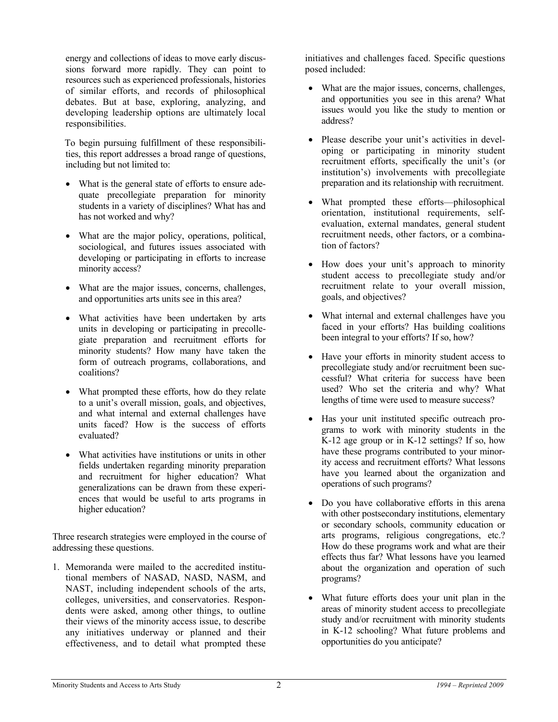energy and collections of ideas to move early discussions forward more rapidly. They can point to resources such as experienced professionals, histories of similar efforts, and records of philosophical debates. But at base, exploring, analyzing, and developing leadership options are ultimately local responsibilities.

To begin pursuing fulfillment of these responsibilities, this report addresses a broad range of questions, including but not limited to:

- What is the general state of efforts to ensure adequate precollegiate preparation for minority students in a variety of disciplines? What has and has not worked and why?
- What are the major policy, operations, political, sociological, and futures issues associated with developing or participating in efforts to increase minority access?
- What are the major issues, concerns, challenges, and opportunities arts units see in this area?
- What activities have been undertaken by arts units in developing or participating in precollegiate preparation and recruitment efforts for minority students? How many have taken the form of outreach programs, collaborations, and coalitions?
- What prompted these efforts, how do they relate to a unit's overall mission, goals, and objectives, and what internal and external challenges have units faced? How is the success of efforts evaluated?
- What activities have institutions or units in other fields undertaken regarding minority preparation and recruitment for higher education? What generalizations can be drawn from these experiences that would be useful to arts programs in higher education?

Three research strategies were employed in the course of addressing these questions.

1. Memoranda were mailed to the accredited institutional members of NASAD, NASD, NASM, and NAST, including independent schools of the arts, colleges, universities, and conservatories. Respondents were asked, among other things, to outline their views of the minority access issue, to describe any initiatives underway or planned and their effectiveness, and to detail what prompted these initiatives and challenges faced. Specific questions posed included:

- What are the major issues, concerns, challenges, and opportunities you see in this arena? What issues would you like the study to mention or address?
- Please describe your unit's activities in developing or participating in minority student recruitment efforts, specifically the unit's (or institution's) involvements with precollegiate preparation and its relationship with recruitment.
- What prompted these efforts—philosophical orientation, institutional requirements, selfevaluation, external mandates, general student recruitment needs, other factors, or a combination of factors?
- How does your unit's approach to minority student access to precollegiate study and/or recruitment relate to your overall mission, goals, and objectives?
- What internal and external challenges have you faced in your efforts? Has building coalitions been integral to your efforts? If so, how?
- Have your efforts in minority student access to precollegiate study and/or recruitment been successful? What criteria for success have been used? Who set the criteria and why? What lengths of time were used to measure success?
- Has your unit instituted specific outreach programs to work with minority students in the K-12 age group or in K-12 settings? If so, how have these programs contributed to your minority access and recruitment efforts? What lessons have you learned about the organization and operations of such programs?
- Do you have collaborative efforts in this arena with other postsecondary institutions, elementary or secondary schools, community education or arts programs, religious congregations, etc.? How do these programs work and what are their effects thus far? What lessons have you learned about the organization and operation of such programs?
- What future efforts does your unit plan in the areas of minority student access to precollegiate study and/or recruitment with minority students in K-12 schooling? What future problems and opportunities do you anticipate?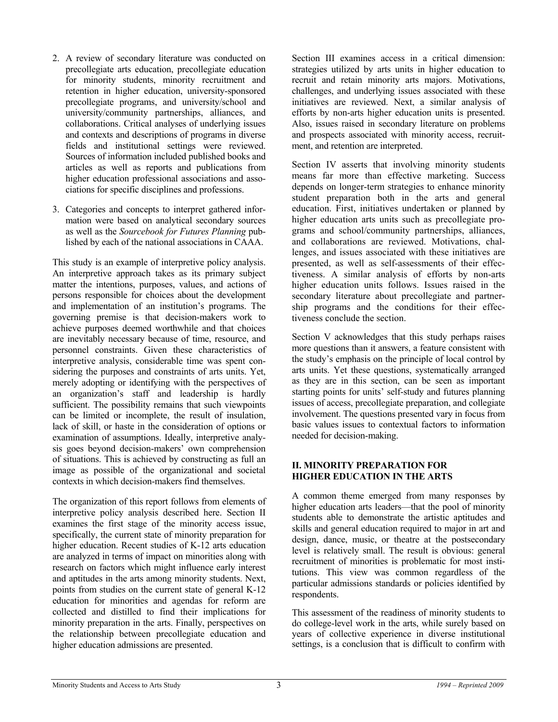- 2. A review of secondary literature was conducted on precollegiate arts education, precollegiate education for minority students, minority recruitment and retention in higher education, university-sponsored precollegiate programs, and university/school and university/community partnerships, alliances, and collaborations. Critical analyses of underlying issues and contexts and descriptions of programs in diverse fields and institutional settings were reviewed. Sources of information included published books and articles as well as reports and publications from higher education professional associations and associations for specific disciplines and professions.
- 3. Categories and concepts to interpret gathered information were based on analytical secondary sources as well as the *Sourcebook for Futures Planning* published by each of the national associations in CAAA.

This study is an example of interpretive policy analysis. An interpretive approach takes as its primary subject matter the intentions, purposes, values, and actions of persons responsible for choices about the development and implementation of an institution's programs. The governing premise is that decision-makers work to achieve purposes deemed worthwhile and that choices are inevitably necessary because of time, resource, and personnel constraints. Given these characteristics of interpretive analysis, considerable time was spent considering the purposes and constraints of arts units. Yet, merely adopting or identifying with the perspectives of an organization's staff and leadership is hardly sufficient. The possibility remains that such viewpoints can be limited or incomplete, the result of insulation, lack of skill, or haste in the consideration of options or examination of assumptions. Ideally, interpretive analysis goes beyond decision-makers' own comprehension of situations. This is achieved by constructing as full an image as possible of the organizational and societal contexts in which decision-makers find themselves.

The organization of this report follows from elements of interpretive policy analysis described here. Section II examines the first stage of the minority access issue, specifically, the current state of minority preparation for higher education. Recent studies of K-12 arts education are analyzed in terms of impact on minorities along with research on factors which might influence early interest and aptitudes in the arts among minority students. Next, points from studies on the current state of general K-12 education for minorities and agendas for reform are collected and distilled to find their implications for minority preparation in the arts. Finally, perspectives on the relationship between precollegiate education and higher education admissions are presented.

Section III examines access in a critical dimension: strategies utilized by arts units in higher education to recruit and retain minority arts majors. Motivations, challenges, and underlying issues associated with these initiatives are reviewed. Next, a similar analysis of efforts by non-arts higher education units is presented. Also, issues raised in secondary literature on problems and prospects associated with minority access, recruitment, and retention are interpreted.

Section IV asserts that involving minority students means far more than effective marketing. Success depends on longer-term strategies to enhance minority student preparation both in the arts and general education. First, initiatives undertaken or planned by higher education arts units such as precollegiate programs and school/community partnerships, alliances, and collaborations are reviewed. Motivations, challenges, and issues associated with these initiatives are presented, as well as self-assessments of their effectiveness. A similar analysis of efforts by non-arts higher education units follows. Issues raised in the secondary literature about precollegiate and partnership programs and the conditions for their effectiveness conclude the section.

Section V acknowledges that this study perhaps raises more questions than it answers, a feature consistent with the study's emphasis on the principle of local control by arts units. Yet these questions, systematically arranged as they are in this section, can be seen as important starting points for units' self-study and futures planning issues of access, precollegiate preparation, and collegiate involvement. The questions presented vary in focus from basic values issues to contextual factors to information needed for decision-making.

#### **II. MINORITY PREPARATION FOR HIGHER EDUCATION IN THE ARTS**

A common theme emerged from many responses by higher education arts leaders—that the pool of minority students able to demonstrate the artistic aptitudes and skills and general education required to major in art and design, dance, music, or theatre at the postsecondary level is relatively small. The result is obvious: general recruitment of minorities is problematic for most institutions. This view was common regardless of the particular admissions standards or policies identified by respondents.

This assessment of the readiness of minority students to do college-level work in the arts, while surely based on years of collective experience in diverse institutional settings, is a conclusion that is difficult to confirm with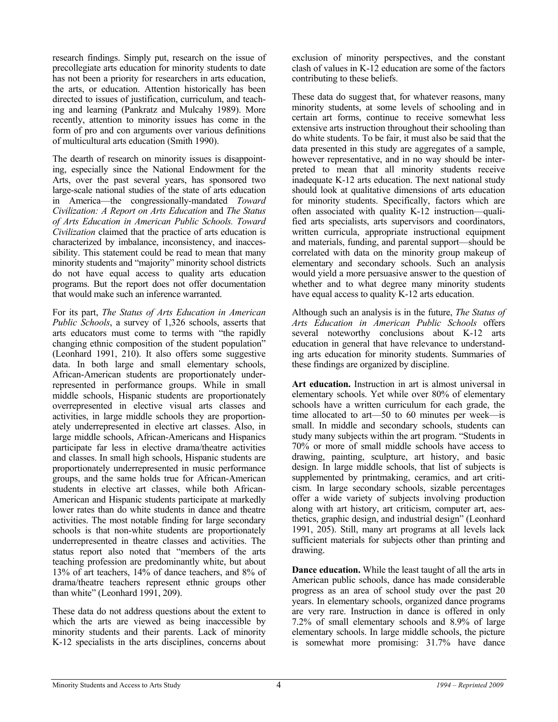research findings. Simply put, research on the issue of precollegiate arts education for minority students to date has not been a priority for researchers in arts education, the arts, or education. Attention historically has been directed to issues of justification, curriculum, and teaching and learning (Pankratz and Mulcahy 1989). More recently, attention to minority issues has come in the form of pro and con arguments over various definitions of multicultural arts education (Smith 1990).

The dearth of research on minority issues is disappointing, especially since the National Endowment for the Arts, over the past several years, has sponsored two large-scale national studies of the state of arts education in America—the congressionally-mandated *Toward Civilization: A Report on Arts Education* and *The Status of Arts Education in American Public Schools. Toward Civilization* claimed that the practice of arts education is characterized by imbalance, inconsistency, and inaccessibility. This statement could be read to mean that many minority students and "majority" minority school districts do not have equal access to quality arts education programs. But the report does not offer documentation that would make such an inference warranted.

For its part, *The Status of Arts Education in American Public Schools*, a survey of 1,326 schools, asserts that arts educators must come to terms with "the rapidly changing ethnic composition of the student population" (Leonhard 1991, 210). It also offers some suggestive data. In both large and small elementary schools, African-American students are proportionately underrepresented in performance groups. While in small middle schools, Hispanic students are proportionately overrepresented in elective visual arts classes and activities, in large middle schools they are proportionately underrepresented in elective art classes. Also, in large middle schools, African-Americans and Hispanics participate far less in elective drama/theatre activities and classes. In small high schools, Hispanic students are proportionately underrepresented in music performance groups, and the same holds true for African-American students in elective art classes, while both African-American and Hispanic students participate at markedly lower rates than do white students in dance and theatre activities. The most notable finding for large secondary schools is that non-white students are proportionately underrepresented in theatre classes and activities. The status report also noted that "members of the arts teaching profession are predominantly white, but about 13% of art teachers, 14% of dance teachers, and 8% of drama/theatre teachers represent ethnic groups other than white" (Leonhard 1991, 209).

These data do not address questions about the extent to which the arts are viewed as being inaccessible by minority students and their parents. Lack of minority K-12 specialists in the arts disciplines, concerns about exclusion of minority perspectives, and the constant clash of values in K-12 education are some of the factors contributing to these beliefs.

These data do suggest that, for whatever reasons, many minority students, at some levels of schooling and in certain art forms, continue to receive somewhat less extensive arts instruction throughout their schooling than do white students. To be fair, it must also be said that the data presented in this study are aggregates of a sample, however representative, and in no way should be interpreted to mean that all minority students receive inadequate K-12 arts education. The next national study should look at qualitative dimensions of arts education for minority students. Specifically, factors which are often associated with quality K-12 instruction—qualified arts specialists, arts supervisors and coordinators, written curricula, appropriate instructional equipment and materials, funding, and parental support—should be correlated with data on the minority group makeup of elementary and secondary schools. Such an analysis would yield a more persuasive answer to the question of whether and to what degree many minority students have equal access to quality K-12 arts education.

Although such an analysis is in the future, *The Status of Arts Education in American Public Schools* offers several noteworthy conclusions about K-12 arts education in general that have relevance to understanding arts education for minority students. Summaries of these findings are organized by discipline.

**Art education.** Instruction in art is almost universal in elementary schools. Yet while over 80% of elementary schools have a written curriculum for each grade, the time allocated to art—50 to 60 minutes per week—is small. In middle and secondary schools, students can study many subjects within the art program. "Students in 70% or more of small middle schools have access to drawing, painting, sculpture, art history, and basic design. In large middle schools, that list of subjects is supplemented by printmaking, ceramics, and art criticism. In large secondary schools, sizable percentages offer a wide variety of subjects involving production along with art history, art criticism, computer art, aesthetics, graphic design, and industrial design" (Leonhard 1991, 205). Still, many art programs at all levels lack sufficient materials for subjects other than printing and drawing.

**Dance education.** While the least taught of all the arts in American public schools, dance has made considerable progress as an area of school study over the past 20 years. In elementary schools, organized dance programs are very rare. Instruction in dance is offered in only 7.2% of small elementary schools and 8.9% of large elementary schools. In large middle schools, the picture is somewhat more promising: 31.7% have dance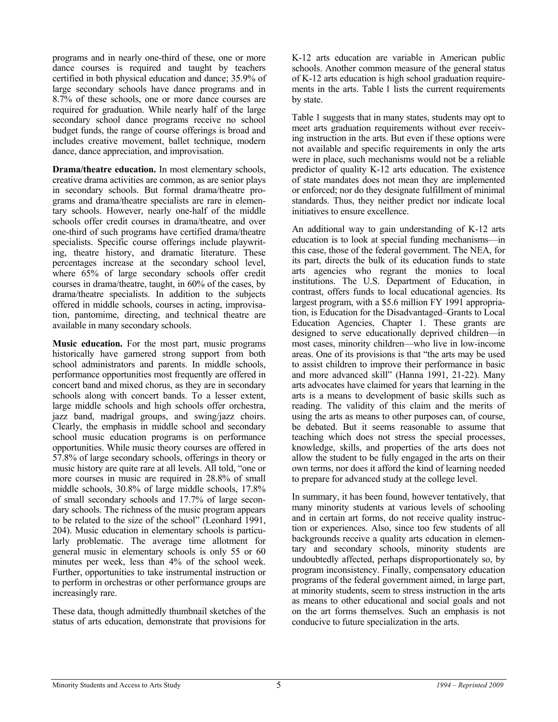programs and in nearly one-third of these, one or more dance courses is required and taught by teachers certified in both physical education and dance; 35.9% of large secondary schools have dance programs and in 8.7% of these schools, one or more dance courses are required for graduation. While nearly half of the large secondary school dance programs receive no school budget funds, the range of course offerings is broad and includes creative movement, ballet technique, modern dance, dance appreciation, and improvisation.

**Drama/theatre education.** In most elementary schools, creative drama activities are common, as are senior plays in secondary schools. But formal drama/theatre programs and drama/theatre specialists are rare in elementary schools. However, nearly one-half of the middle schools offer credit courses in drama/theatre, and over one-third of such programs have certified drama/theatre specialists. Specific course offerings include playwriting, theatre history, and dramatic literature. These percentages increase at the secondary school level, where 65% of large secondary schools offer credit courses in drama/theatre, taught, in 60% of the cases, by drama/theatre specialists. In addition to the subjects offered in middle schools, courses in acting, improvisation, pantomime, directing, and technical theatre are available in many secondary schools.

**Music education.** For the most part, music programs historically have garnered strong support from both school administrators and parents. In middle schools, performance opportunities most frequently are offered in concert band and mixed chorus, as they are in secondary schools along with concert bands. To a lesser extent, large middle schools and high schools offer orchestra, jazz band, madrigal groups, and swing/jazz choirs. Clearly, the emphasis in middle school and secondary school music education programs is on performance opportunities. While music theory courses are offered in 57.8% of large secondary schools, offerings in theory or music history are quite rare at all levels. All told, "one or more courses in music are required in 28.8% of small middle schools, 30.8% of large middle schools, 17.8% of small secondary schools and 17.7% of large secondary schools. The richness of the music program appears to be related to the size of the school" (Leonhard 1991, 204). Music education in elementary schools is particularly problematic. The average time allotment for general music in elementary schools is only 55 or 60 minutes per week, less than 4% of the school week. Further, opportunities to take instrumental instruction or to perform in orchestras or other performance groups are increasingly rare.

These data, though admittedly thumbnail sketches of the status of arts education, demonstrate that provisions for

K-12 arts education are variable in American public schools. Another common measure of the general status of K-12 arts education is high school graduation requirements in the arts. Table 1 lists the current requirements by state.

Table 1 suggests that in many states, students may opt to meet arts graduation requirements without ever receiving instruction in the arts. But even if these options were not available and specific requirements in only the arts were in place, such mechanisms would not be a reliable predictor of quality K-12 arts education. The existence of state mandates does not mean they are implemented or enforced; nor do they designate fulfillment of minimal standards. Thus, they neither predict nor indicate local initiatives to ensure excellence.

An additional way to gain understanding of K-12 arts education is to look at special funding mechanisms—in this case, those of the federal government. The NEA, for its part, directs the bulk of its education funds to state arts agencies who regrant the monies to local institutions. The U.S. Department of Education, in contrast, offers funds to local educational agencies. Its largest program, with a \$5.6 million FY 1991 appropriation, is Education for the Disadvantaged–Grants to Local Education Agencies, Chapter 1. These grants are designed to serve educationally deprived children—in most cases, minority children—who live in low-income areas. One of its provisions is that "the arts may be used to assist children to improve their performance in basic and more advanced skill" (Hanna 1991, 21-22). Many arts advocates have claimed for years that learning in the arts is a means to development of basic skills such as reading. The validity of this claim and the merits of using the arts as means to other purposes can, of course, be debated. But it seems reasonable to assume that teaching which does not stress the special processes, knowledge, skills, and properties of the arts does not allow the student to be fully engaged in the arts on their own terms, nor does it afford the kind of learning needed to prepare for advanced study at the college level.

In summary, it has been found, however tentatively, that many minority students at various levels of schooling and in certain art forms, do not receive quality instruction or experiences. Also, since too few students of all backgrounds receive a quality arts education in elementary and secondary schools, minority students are undoubtedly affected, perhaps disproportionately so, by program inconsistency. Finally, compensatory education programs of the federal government aimed, in large part, at minority students, seem to stress instruction in the arts as means to other educational and social goals and not on the art forms themselves. Such an emphasis is not conducive to future specialization in the arts.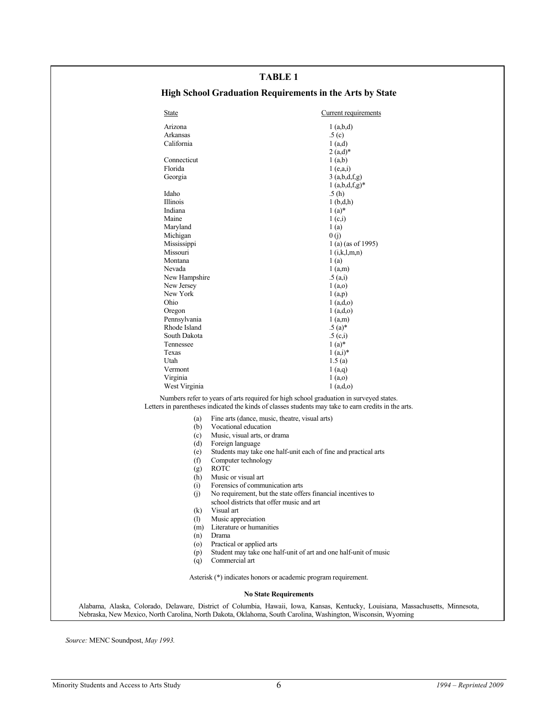#### **TABLE 1**

### **High School Graduation Requirements in the Arts by State**

| Arizona<br>Arkansas<br>California<br>Connecticut<br>Florida<br>Georgia<br>Idaho<br>Illinois<br>Indiana<br>Maine<br>Maryland<br>Michigan | 1(a,b,d)<br>.5(c)<br>1(a,d)<br>$2(a,d)^*$<br>1(a,b)<br>1(e,a,i)<br>.5(h)<br>1(b,d,h)<br>$1(a)*$<br>1(c,i)<br>1(a)                                                                                                                    | 3(a,b,d,f,g)<br>$1(a,b,d,f,g)^*$                                                                                                                                                                                                                                                                                                                                                                                                                                                                                                                                                                                                                                                                                                                                                                                                                                                                                                                                                                                                                                               |
|-----------------------------------------------------------------------------------------------------------------------------------------|--------------------------------------------------------------------------------------------------------------------------------------------------------------------------------------------------------------------------------------|--------------------------------------------------------------------------------------------------------------------------------------------------------------------------------------------------------------------------------------------------------------------------------------------------------------------------------------------------------------------------------------------------------------------------------------------------------------------------------------------------------------------------------------------------------------------------------------------------------------------------------------------------------------------------------------------------------------------------------------------------------------------------------------------------------------------------------------------------------------------------------------------------------------------------------------------------------------------------------------------------------------------------------------------------------------------------------|
|                                                                                                                                         |                                                                                                                                                                                                                                      |                                                                                                                                                                                                                                                                                                                                                                                                                                                                                                                                                                                                                                                                                                                                                                                                                                                                                                                                                                                                                                                                                |
|                                                                                                                                         |                                                                                                                                                                                                                                      |                                                                                                                                                                                                                                                                                                                                                                                                                                                                                                                                                                                                                                                                                                                                                                                                                                                                                                                                                                                                                                                                                |
|                                                                                                                                         |                                                                                                                                                                                                                                      |                                                                                                                                                                                                                                                                                                                                                                                                                                                                                                                                                                                                                                                                                                                                                                                                                                                                                                                                                                                                                                                                                |
|                                                                                                                                         |                                                                                                                                                                                                                                      |                                                                                                                                                                                                                                                                                                                                                                                                                                                                                                                                                                                                                                                                                                                                                                                                                                                                                                                                                                                                                                                                                |
|                                                                                                                                         |                                                                                                                                                                                                                                      |                                                                                                                                                                                                                                                                                                                                                                                                                                                                                                                                                                                                                                                                                                                                                                                                                                                                                                                                                                                                                                                                                |
|                                                                                                                                         |                                                                                                                                                                                                                                      |                                                                                                                                                                                                                                                                                                                                                                                                                                                                                                                                                                                                                                                                                                                                                                                                                                                                                                                                                                                                                                                                                |
|                                                                                                                                         |                                                                                                                                                                                                                                      |                                                                                                                                                                                                                                                                                                                                                                                                                                                                                                                                                                                                                                                                                                                                                                                                                                                                                                                                                                                                                                                                                |
|                                                                                                                                         |                                                                                                                                                                                                                                      |                                                                                                                                                                                                                                                                                                                                                                                                                                                                                                                                                                                                                                                                                                                                                                                                                                                                                                                                                                                                                                                                                |
|                                                                                                                                         |                                                                                                                                                                                                                                      |                                                                                                                                                                                                                                                                                                                                                                                                                                                                                                                                                                                                                                                                                                                                                                                                                                                                                                                                                                                                                                                                                |
|                                                                                                                                         |                                                                                                                                                                                                                                      |                                                                                                                                                                                                                                                                                                                                                                                                                                                                                                                                                                                                                                                                                                                                                                                                                                                                                                                                                                                                                                                                                |
|                                                                                                                                         |                                                                                                                                                                                                                                      |                                                                                                                                                                                                                                                                                                                                                                                                                                                                                                                                                                                                                                                                                                                                                                                                                                                                                                                                                                                                                                                                                |
|                                                                                                                                         |                                                                                                                                                                                                                                      |                                                                                                                                                                                                                                                                                                                                                                                                                                                                                                                                                                                                                                                                                                                                                                                                                                                                                                                                                                                                                                                                                |
|                                                                                                                                         | 0(j)                                                                                                                                                                                                                                 |                                                                                                                                                                                                                                                                                                                                                                                                                                                                                                                                                                                                                                                                                                                                                                                                                                                                                                                                                                                                                                                                                |
|                                                                                                                                         |                                                                                                                                                                                                                                      | 1 (a) (as of 1995)                                                                                                                                                                                                                                                                                                                                                                                                                                                                                                                                                                                                                                                                                                                                                                                                                                                                                                                                                                                                                                                             |
|                                                                                                                                         |                                                                                                                                                                                                                                      | $1$ (i,k,l,m,n)                                                                                                                                                                                                                                                                                                                                                                                                                                                                                                                                                                                                                                                                                                                                                                                                                                                                                                                                                                                                                                                                |
|                                                                                                                                         |                                                                                                                                                                                                                                      |                                                                                                                                                                                                                                                                                                                                                                                                                                                                                                                                                                                                                                                                                                                                                                                                                                                                                                                                                                                                                                                                                |
|                                                                                                                                         |                                                                                                                                                                                                                                      |                                                                                                                                                                                                                                                                                                                                                                                                                                                                                                                                                                                                                                                                                                                                                                                                                                                                                                                                                                                                                                                                                |
|                                                                                                                                         |                                                                                                                                                                                                                                      |                                                                                                                                                                                                                                                                                                                                                                                                                                                                                                                                                                                                                                                                                                                                                                                                                                                                                                                                                                                                                                                                                |
|                                                                                                                                         |                                                                                                                                                                                                                                      |                                                                                                                                                                                                                                                                                                                                                                                                                                                                                                                                                                                                                                                                                                                                                                                                                                                                                                                                                                                                                                                                                |
|                                                                                                                                         |                                                                                                                                                                                                                                      |                                                                                                                                                                                                                                                                                                                                                                                                                                                                                                                                                                                                                                                                                                                                                                                                                                                                                                                                                                                                                                                                                |
|                                                                                                                                         | 1(a,d,o)                                                                                                                                                                                                                             |                                                                                                                                                                                                                                                                                                                                                                                                                                                                                                                                                                                                                                                                                                                                                                                                                                                                                                                                                                                                                                                                                |
| Pennsylvania                                                                                                                            | $1$ (a,m)                                                                                                                                                                                                                            |                                                                                                                                                                                                                                                                                                                                                                                                                                                                                                                                                                                                                                                                                                                                                                                                                                                                                                                                                                                                                                                                                |
| Rhode Island                                                                                                                            | $.5(a)*$                                                                                                                                                                                                                             |                                                                                                                                                                                                                                                                                                                                                                                                                                                                                                                                                                                                                                                                                                                                                                                                                                                                                                                                                                                                                                                                                |
| South Dakota                                                                                                                            | .5(c,i)                                                                                                                                                                                                                              |                                                                                                                                                                                                                                                                                                                                                                                                                                                                                                                                                                                                                                                                                                                                                                                                                                                                                                                                                                                                                                                                                |
|                                                                                                                                         |                                                                                                                                                                                                                                      |                                                                                                                                                                                                                                                                                                                                                                                                                                                                                                                                                                                                                                                                                                                                                                                                                                                                                                                                                                                                                                                                                |
|                                                                                                                                         |                                                                                                                                                                                                                                      |                                                                                                                                                                                                                                                                                                                                                                                                                                                                                                                                                                                                                                                                                                                                                                                                                                                                                                                                                                                                                                                                                |
|                                                                                                                                         |                                                                                                                                                                                                                                      |                                                                                                                                                                                                                                                                                                                                                                                                                                                                                                                                                                                                                                                                                                                                                                                                                                                                                                                                                                                                                                                                                |
|                                                                                                                                         |                                                                                                                                                                                                                                      |                                                                                                                                                                                                                                                                                                                                                                                                                                                                                                                                                                                                                                                                                                                                                                                                                                                                                                                                                                                                                                                                                |
|                                                                                                                                         | 1(a,d,o)                                                                                                                                                                                                                             |                                                                                                                                                                                                                                                                                                                                                                                                                                                                                                                                                                                                                                                                                                                                                                                                                                                                                                                                                                                                                                                                                |
|                                                                                                                                         |                                                                                                                                                                                                                                      |                                                                                                                                                                                                                                                                                                                                                                                                                                                                                                                                                                                                                                                                                                                                                                                                                                                                                                                                                                                                                                                                                |
|                                                                                                                                         |                                                                                                                                                                                                                                      |                                                                                                                                                                                                                                                                                                                                                                                                                                                                                                                                                                                                                                                                                                                                                                                                                                                                                                                                                                                                                                                                                |
|                                                                                                                                         |                                                                                                                                                                                                                                      |                                                                                                                                                                                                                                                                                                                                                                                                                                                                                                                                                                                                                                                                                                                                                                                                                                                                                                                                                                                                                                                                                |
|                                                                                                                                         |                                                                                                                                                                                                                                      |                                                                                                                                                                                                                                                                                                                                                                                                                                                                                                                                                                                                                                                                                                                                                                                                                                                                                                                                                                                                                                                                                |
| (d)                                                                                                                                     | Foreign language                                                                                                                                                                                                                     |                                                                                                                                                                                                                                                                                                                                                                                                                                                                                                                                                                                                                                                                                                                                                                                                                                                                                                                                                                                                                                                                                |
| (e)                                                                                                                                     | Students may take one half-unit each of fine and practical arts                                                                                                                                                                      |                                                                                                                                                                                                                                                                                                                                                                                                                                                                                                                                                                                                                                                                                                                                                                                                                                                                                                                                                                                                                                                                                |
| (f)                                                                                                                                     |                                                                                                                                                                                                                                      |                                                                                                                                                                                                                                                                                                                                                                                                                                                                                                                                                                                                                                                                                                                                                                                                                                                                                                                                                                                                                                                                                |
| (g)                                                                                                                                     | <b>ROTC</b>                                                                                                                                                                                                                          |                                                                                                                                                                                                                                                                                                                                                                                                                                                                                                                                                                                                                                                                                                                                                                                                                                                                                                                                                                                                                                                                                |
| (h)                                                                                                                                     | Music or visual art                                                                                                                                                                                                                  |                                                                                                                                                                                                                                                                                                                                                                                                                                                                                                                                                                                                                                                                                                                                                                                                                                                                                                                                                                                                                                                                                |
|                                                                                                                                         |                                                                                                                                                                                                                                      |                                                                                                                                                                                                                                                                                                                                                                                                                                                                                                                                                                                                                                                                                                                                                                                                                                                                                                                                                                                                                                                                                |
|                                                                                                                                         |                                                                                                                                                                                                                                      |                                                                                                                                                                                                                                                                                                                                                                                                                                                                                                                                                                                                                                                                                                                                                                                                                                                                                                                                                                                                                                                                                |
|                                                                                                                                         |                                                                                                                                                                                                                                      |                                                                                                                                                                                                                                                                                                                                                                                                                                                                                                                                                                                                                                                                                                                                                                                                                                                                                                                                                                                                                                                                                |
|                                                                                                                                         |                                                                                                                                                                                                                                      |                                                                                                                                                                                                                                                                                                                                                                                                                                                                                                                                                                                                                                                                                                                                                                                                                                                                                                                                                                                                                                                                                |
|                                                                                                                                         |                                                                                                                                                                                                                                      |                                                                                                                                                                                                                                                                                                                                                                                                                                                                                                                                                                                                                                                                                                                                                                                                                                                                                                                                                                                                                                                                                |
|                                                                                                                                         |                                                                                                                                                                                                                                      |                                                                                                                                                                                                                                                                                                                                                                                                                                                                                                                                                                                                                                                                                                                                                                                                                                                                                                                                                                                                                                                                                |
|                                                                                                                                         |                                                                                                                                                                                                                                      |                                                                                                                                                                                                                                                                                                                                                                                                                                                                                                                                                                                                                                                                                                                                                                                                                                                                                                                                                                                                                                                                                |
| (p)                                                                                                                                     | Student may take one half-unit of art and one half-unit of music                                                                                                                                                                     |                                                                                                                                                                                                                                                                                                                                                                                                                                                                                                                                                                                                                                                                                                                                                                                                                                                                                                                                                                                                                                                                                |
| (q)                                                                                                                                     | Commercial art                                                                                                                                                                                                                       |                                                                                                                                                                                                                                                                                                                                                                                                                                                                                                                                                                                                                                                                                                                                                                                                                                                                                                                                                                                                                                                                                |
|                                                                                                                                         |                                                                                                                                                                                                                                      |                                                                                                                                                                                                                                                                                                                                                                                                                                                                                                                                                                                                                                                                                                                                                                                                                                                                                                                                                                                                                                                                                |
|                                                                                                                                         |                                                                                                                                                                                                                                      |                                                                                                                                                                                                                                                                                                                                                                                                                                                                                                                                                                                                                                                                                                                                                                                                                                                                                                                                                                                                                                                                                |
|                                                                                                                                         | Mississippi<br>Missouri<br>Montana<br>Nevada<br>New Jersey<br>New York<br>Ohio<br>Oregon<br>Tennessee<br>Texas<br>Utah<br>Vermont<br>Virginia<br>West Virginia<br>(a)<br>(b)<br>(c)<br>(i)<br>(i)<br>(k)<br>(1)<br>(m)<br>(n)<br>(0) | 1(a)<br>1(a,m)<br>New Hampshire<br>.5(a,i)<br>1(a,0)<br>1(a,p)<br>1(a,d,o)<br>$1(a)*$<br>$1(a,i)*$<br>1.5(a)<br>1(a,q)<br>1(a,0)<br>Numbers refer to years of arts required for high school graduation in surveyed states.<br>Letters in parentheses indicated the kinds of classes students may take to earn credits in the arts.<br>Fine arts (dance, music, theatre, visual arts)<br>Vocational education<br>Music, visual arts, or drama<br>Computer technology<br>Forensics of communication arts<br>No requirement, but the state offers financial incentives to<br>school districts that offer music and art<br>Visual art<br>Music appreciation<br>Literature or humanities<br>Drama<br>Practical or applied arts<br>Asterisk (*) indicates honors or academic program requirement.<br><b>No State Requirements</b><br>Alabama, Alaska, Colorado, Delaware, District of Columbia, Hawaii, Iowa, Kansas, Kentucky, Louisiana, Massachusetts, Minnesota,<br>Nebraska, New Mexico, North Carolina, North Dakota, Oklahoma, South Carolina, Washington, Wisconsin, Wyoming |

*Source:* MENC Soundpost, *May 1993.*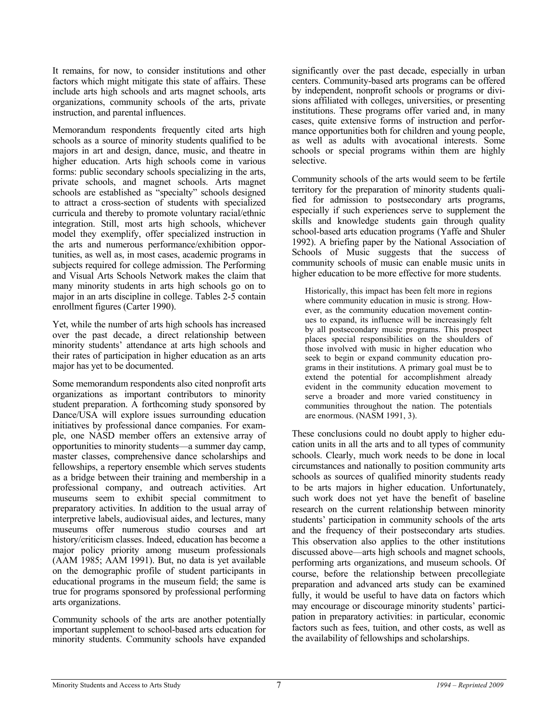It remains, for now, to consider institutions and other factors which might mitigate this state of affairs. These include arts high schools and arts magnet schools, arts organizations, community schools of the arts, private instruction, and parental influences.

Memorandum respondents frequently cited arts high schools as a source of minority students qualified to be majors in art and design, dance, music, and theatre in higher education. Arts high schools come in various forms: public secondary schools specializing in the arts, private schools, and magnet schools. Arts magnet schools are established as "specialty" schools designed to attract a cross-section of students with specialized curricula and thereby to promote voluntary racial/ethnic integration. Still, most arts high schools, whichever model they exemplify, offer specialized instruction in the arts and numerous performance/exhibition opportunities, as well as, in most cases, academic programs in subjects required for college admission. The Performing and Visual Arts Schools Network makes the claim that many minority students in arts high schools go on to major in an arts discipline in college. Tables 2-5 contain enrollment figures (Carter 1990).

Yet, while the number of arts high schools has increased over the past decade, a direct relationship between minority students' attendance at arts high schools and their rates of participation in higher education as an arts major has yet to be documented.

Some memorandum respondents also cited nonprofit arts organizations as important contributors to minority student preparation. A forthcoming study sponsored by Dance/USA will explore issues surrounding education initiatives by professional dance companies. For example, one NASD member offers an extensive array of opportunities to minority students—a summer day camp, master classes, comprehensive dance scholarships and fellowships, a repertory ensemble which serves students as a bridge between their training and membership in a professional company, and outreach activities. Art museums seem to exhibit special commitment to preparatory activities. In addition to the usual array of interpretive labels, audiovisual aides, and lectures, many museums offer numerous studio courses and art history/criticism classes. Indeed, education has become a major policy priority among museum professionals (AAM 1985; AAM 1991). But, no data is yet available on the demographic profile of student participants in educational programs in the museum field; the same is true for programs sponsored by professional performing arts organizations.

Community schools of the arts are another potentially important supplement to school-based arts education for minority students. Community schools have expanded significantly over the past decade, especially in urban centers. Community-based arts programs can be offered by independent, nonprofit schools or programs or divisions affiliated with colleges, universities, or presenting institutions. These programs offer varied and, in many cases, quite extensive forms of instruction and performance opportunities both for children and young people, as well as adults with avocational interests. Some schools or special programs within them are highly selective.

Community schools of the arts would seem to be fertile territory for the preparation of minority students qualified for admission to postsecondary arts programs, especially if such experiences serve to supplement the skills and knowledge students gain through quality school-based arts education programs (Yaffe and Shuler 1992). A briefing paper by the National Association of Schools of Music suggests that the success of community schools of music can enable music units in higher education to be more effective for more students.

Historically, this impact has been felt more in regions where community education in music is strong. However, as the community education movement continues to expand, its influence will be increasingly felt by all postsecondary music programs. This prospect places special responsibilities on the shoulders of those involved with music in higher education who seek to begin or expand community education programs in their institutions. A primary goal must be to extend the potential for accomplishment already evident in the community education movement to serve a broader and more varied constituency in communities throughout the nation. The potentials are enormous. (NASM 1991, 3).

These conclusions could no doubt apply to higher education units in all the arts and to all types of community schools. Clearly, much work needs to be done in local circumstances and nationally to position community arts schools as sources of qualified minority students ready to be arts majors in higher education. Unfortunately, such work does not yet have the benefit of baseline research on the current relationship between minority students' participation in community schools of the arts and the frequency of their postsecondary arts studies. This observation also applies to the other institutions discussed above—arts high schools and magnet schools, performing arts organizations, and museum schools. Of course, before the relationship between precollegiate preparation and advanced arts study can be examined fully, it would be useful to have data on factors which may encourage or discourage minority students' participation in preparatory activities: in particular, economic factors such as fees, tuition, and other costs, as well as the availability of fellowships and scholarships.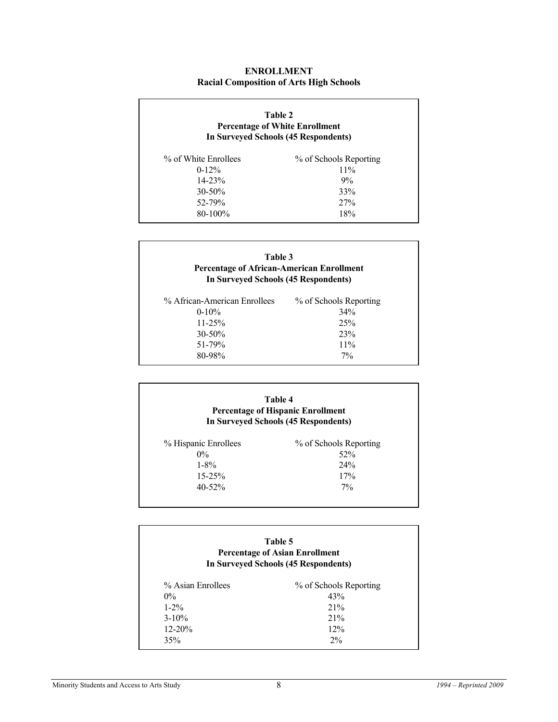#### **ENROLLMENT Racial Composition of Arts High Schools**

| Table 2<br><b>Percentage of White Enrollment</b><br>In Surveyed Schools (45 Respondents) |                        |  |
|------------------------------------------------------------------------------------------|------------------------|--|
| % of White Enrollees                                                                     | % of Schools Reporting |  |
| $0-12%$                                                                                  | 11%                    |  |
| $14 - 23%$                                                                               | 9%                     |  |
| $30 - 50\%$                                                                              | 33%                    |  |
| 52-79%                                                                                   | 27%                    |  |
| $80 - 100\%$                                                                             | 18%                    |  |

|                              | Table 3<br><b>Percentage of African-American Enrollment</b><br>In Surveyed Schools (45 Respondents) |  |  |  |
|------------------------------|-----------------------------------------------------------------------------------------------------|--|--|--|
| % African-American Enrollees | % of Schools Reporting                                                                              |  |  |  |
| $0-10%$                      | 34%                                                                                                 |  |  |  |
| $11 - 25%$                   | 25%                                                                                                 |  |  |  |
| $30 - 50\%$                  | 23%                                                                                                 |  |  |  |
| 51-79%                       | 11%                                                                                                 |  |  |  |
| 80-98%                       | $7\%$                                                                                               |  |  |  |

| Table 4                                  |
|------------------------------------------|
| <b>Percentage of Hispanic Enrollment</b> |
| In Surveyed Schools (45 Respondents)     |
|                                          |

| % Hispanic Enrollees | % of Schools Reporting |
|----------------------|------------------------|
| 0%                   | 52%                    |
| $1 - 8\%$            | 24%                    |
| $15 - 25%$           | 17%                    |
| $40 - 52\%$          | $7\%$                  |
|                      |                        |

#### **Table 5 Percentage of Asian Enrollment In Surveyed Schools (45 Respondents)**

| % Asian Enrollees | % of Schools Reporting |
|-------------------|------------------------|
| $0\%$             | 43%                    |
| $1 - 2\%$         | 21%                    |
| $3 - 10\%$        | 21%                    |
| $12 - 20%$        | 12%                    |
| 35%               | 2%                     |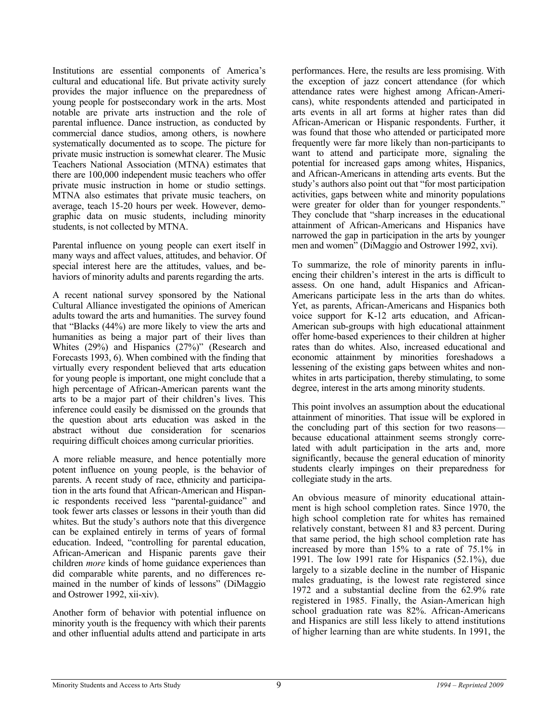Institutions are essential components of America's cultural and educational life. But private activity surely provides the major influence on the preparedness of young people for postsecondary work in the arts. Most notable are private arts instruction and the role of parental influence. Dance instruction, as conducted by commercial dance studios, among others, is nowhere systematically documented as to scope. The picture for private music instruction is somewhat clearer. The Music Teachers National Association (MTNA) estimates that there are 100,000 independent music teachers who offer private music instruction in home or studio settings. MTNA also estimates that private music teachers, on average, teach 15-20 hours per week. However, demographic data on music students, including minority students, is not collected by MTNA.

Parental influence on young people can exert itself in many ways and affect values, attitudes, and behavior. Of special interest here are the attitudes, values, and behaviors of minority adults and parents regarding the arts.

A recent national survey sponsored by the National Cultural Alliance investigated the opinions of American adults toward the arts and humanities. The survey found that "Blacks (44%) are more likely to view the arts and humanities as being a major part of their lives than Whites (29%) and Hispanics (27%)" (Research and Forecasts 1993, 6). When combined with the finding that virtually every respondent believed that arts education for young people is important, one might conclude that a high percentage of African-American parents want the arts to be a major part of their children's lives. This inference could easily be dismissed on the grounds that the question about arts education was asked in the abstract without due consideration for scenarios requiring difficult choices among curricular priorities.

A more reliable measure, and hence potentially more potent influence on young people, is the behavior of parents. A recent study of race, ethnicity and participation in the arts found that African-American and Hispanic respondents received less "parental-guidance" and took fewer arts classes or lessons in their youth than did whites. But the study's authors note that this divergence can be explained entirely in terms of years of formal education. Indeed, "controlling for parental education, African-American and Hispanic parents gave their children *more* kinds of home guidance experiences than did comparable white parents, and no differences remained in the number of kinds of lessons" (DiMaggio and Ostrower 1992, xii-xiv).

Another form of behavior with potential influence on minority youth is the frequency with which their parents and other influential adults attend and participate in arts performances. Here, the results are less promising. With the exception of jazz concert attendance (for which attendance rates were highest among African-Americans), white respondents attended and participated in arts events in all art forms at higher rates than did African-American or Hispanic respondents. Further, it was found that those who attended or participated more frequently were far more likely than non-participants to want to attend and participate more, signaling the potential for increased gaps among whites, Hispanics, and African-Americans in attending arts events. But the study's authors also point out that "for most participation activities, gaps between white and minority populations were greater for older than for younger respondents." They conclude that "sharp increases in the educational attainment of African-Americans and Hispanics have narrowed the gap in participation in the arts by younger men and women" (DiMaggio and Ostrower 1992, xvi).

To summarize, the role of minority parents in influencing their children's interest in the arts is difficult to assess. On one hand, adult Hispanics and African-Americans participate less in the arts than do whites. Yet, as parents, African-Americans and Hispanics both voice support for K-12 arts education, and African-American sub-groups with high educational attainment offer home-based experiences to their children at higher rates than do whites. Also, increased educational and economic attainment by minorities foreshadows a lessening of the existing gaps between whites and nonwhites in arts participation, thereby stimulating, to some degree, interest in the arts among minority students.

This point involves an assumption about the educational attainment of minorities. That issue will be explored in the concluding part of this section for two reasons because educational attainment seems strongly correlated with adult participation in the arts and, more significantly, because the general education of minority students clearly impinges on their preparedness for collegiate study in the arts.

An obvious measure of minority educational attainment is high school completion rates. Since 1970, the high school completion rate for whites has remained relatively constant, between 81 and 83 percent. During that same period, the high school completion rate has increased by more than 15% to a rate of 75.1% in 1991. The low 1991 rate for Hispanics (52.1%), due largely to a sizable decline in the number of Hispanic males graduating, is the lowest rate registered since 1972 and a substantial decline from the 62.9% rate registered in 1985. Finally, the Asian-American high school graduation rate was 82%. African-Americans and Hispanics are still less likely to attend institutions of higher learning than are white students. In 1991, the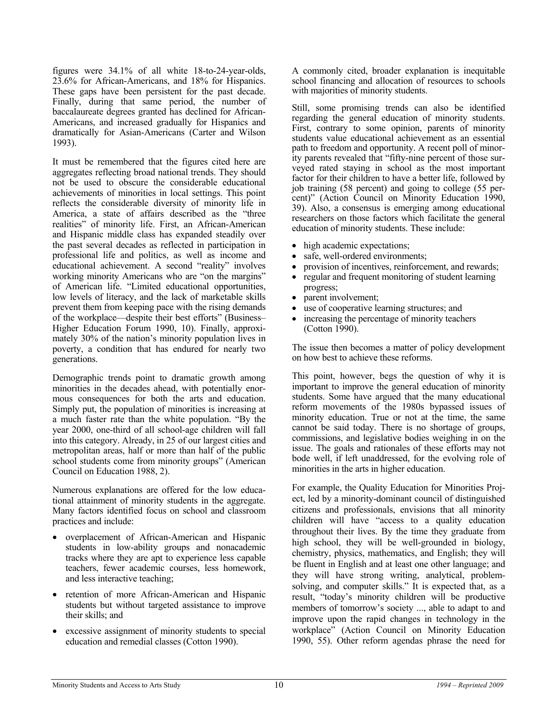figures were 34.1% of all white 18-to-24-year-olds, 23.6% for African-Americans, and 18% for Hispanics. These gaps have been persistent for the past decade. Finally, during that same period, the number of baccalaureate degrees granted has declined for African-Americans, and increased gradually for Hispanics and dramatically for Asian-Americans (Carter and Wilson 1993).

It must be remembered that the figures cited here are aggregates reflecting broad national trends. They should not be used to obscure the considerable educational achievements of minorities in local settings. This point reflects the considerable diversity of minority life in America, a state of affairs described as the "three realities" of minority life. First, an African-American and Hispanic middle class has expanded steadily over the past several decades as reflected in participation in professional life and politics, as well as income and educational achievement. A second "reality" involves working minority Americans who are "on the margins" of American life. "Limited educational opportunities, low levels of literacy, and the lack of marketable skills prevent them from keeping pace with the rising demands of the workplace—despite their best efforts" (Business– Higher Education Forum 1990, 10). Finally, approximately 30% of the nation's minority population lives in poverty, a condition that has endured for nearly two generations.

Demographic trends point to dramatic growth among minorities in the decades ahead, with potentially enormous consequences for both the arts and education. Simply put, the population of minorities is increasing at a much faster rate than the white population. "By the year 2000, one-third of all school-age children will fall into this category. Already, in 25 of our largest cities and metropolitan areas, half or more than half of the public school students come from minority groups" (American Council on Education 1988, 2).

Numerous explanations are offered for the low educational attainment of minority students in the aggregate. Many factors identified focus on school and classroom practices and include:

- overplacement of African-American and Hispanic students in low-ability groups and nonacademic tracks where they are apt to experience less capable teachers, fewer academic courses, less homework, and less interactive teaching;
- retention of more African-American and Hispanic students but without targeted assistance to improve their skills; and
- excessive assignment of minority students to special education and remedial classes (Cotton 1990).

A commonly cited, broader explanation is inequitable school financing and allocation of resources to schools with majorities of minority students.

Still, some promising trends can also be identified regarding the general education of minority students. First, contrary to some opinion, parents of minority students value educational achievement as an essential path to freedom and opportunity. A recent poll of minority parents revealed that "fifty-nine percent of those surveyed rated staying in school as the most important factor for their children to have a better life, followed by job training (58 percent) and going to college (55 percent)" (Action Council on Minority Education 1990, 39). Also, a consensus is emerging among educational researchers on those factors which facilitate the general education of minority students. These include:

- high academic expectations;
- safe, well-ordered environments;
- provision of incentives, reinforcement, and rewards;
- regular and frequent monitoring of student learning progress;
- parent involvement;
- use of cooperative learning structures; and
- increasing the percentage of minority teachers (Cotton 1990).

The issue then becomes a matter of policy development on how best to achieve these reforms.

This point, however, begs the question of why it is important to improve the general education of minority students. Some have argued that the many educational reform movements of the 1980s bypassed issues of minority education. True or not at the time, the same cannot be said today. There is no shortage of groups, commissions, and legislative bodies weighing in on the issue. The goals and rationales of these efforts may not bode well, if left unaddressed, for the evolving role of minorities in the arts in higher education.

For example, the Quality Education for Minorities Project, led by a minority-dominant council of distinguished citizens and professionals, envisions that all minority children will have "access to a quality education throughout their lives. By the time they graduate from high school, they will be well-grounded in biology, chemistry, physics, mathematics, and English; they will be fluent in English and at least one other language; and they will have strong writing, analytical, problemsolving, and computer skills." It is expected that, as a result, "today's minority children will be productive members of tomorrow's society ..., able to adapt to and improve upon the rapid changes in technology in the workplace" (Action Council on Minority Education 1990, 55). Other reform agendas phrase the need for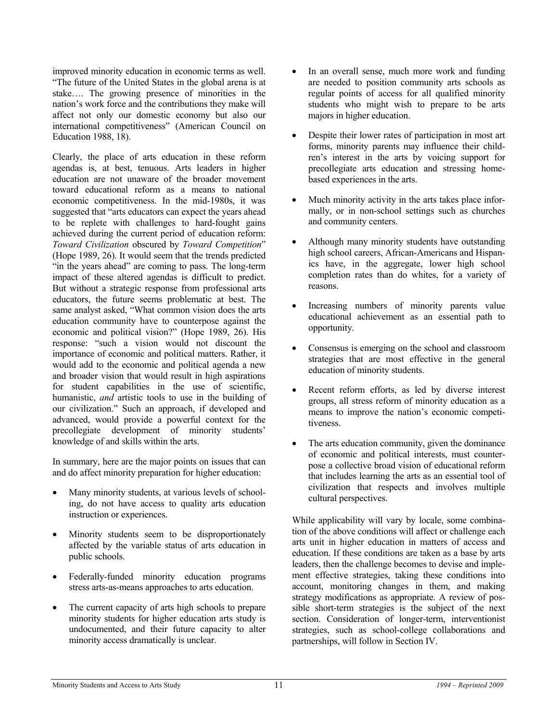improved minority education in economic terms as well. "The future of the United States in the global arena is at stake…. The growing presence of minorities in the nation's work force and the contributions they make will affect not only our domestic economy but also our international competitiveness" (American Council on Education 1988, 18).

Clearly, the place of arts education in these reform agendas is, at best, tenuous. Arts leaders in higher education are not unaware of the broader movement toward educational reform as a means to national economic competitiveness. In the mid-1980s, it was suggested that "arts educators can expect the years ahead to be replete with challenges to hard-fought gains achieved during the current period of education reform: *Toward Civilization* obscured by *Toward Competition*" (Hope 1989, 26). It would seem that the trends predicted "in the years ahead" are coming to pass. The long-term impact of these altered agendas is difficult to predict. But without a strategic response from professional arts educators, the future seems problematic at best. The same analyst asked, "What common vision does the arts education community have to counterpose against the economic and political vision?" (Hope 1989, 26). His response: "such a vision would not discount the importance of economic and political matters. Rather, it would add to the economic and political agenda a new and broader vision that would result in high aspirations for student capabilities in the use of scientific, humanistic, *and* artistic tools to use in the building of our civilization." Such an approach, if developed and advanced, would provide a powerful context for the precollegiate development of minority students' knowledge of and skills within the arts.

In summary, here are the major points on issues that can and do affect minority preparation for higher education:

- Many minority students, at various levels of schooling, do not have access to quality arts education instruction or experiences.
- Minority students seem to be disproportionately affected by the variable status of arts education in public schools.
- Federally-funded minority education programs stress arts-as-means approaches to arts education.
- The current capacity of arts high schools to prepare minority students for higher education arts study is undocumented, and their future capacity to alter minority access dramatically is unclear.
- In an overall sense, much more work and funding are needed to position community arts schools as regular points of access for all qualified minority students who might wish to prepare to be arts majors in higher education.
- Despite their lower rates of participation in most art forms, minority parents may influence their children's interest in the arts by voicing support for precollegiate arts education and stressing homebased experiences in the arts.
- Much minority activity in the arts takes place informally, or in non-school settings such as churches and community centers.
- Although many minority students have outstanding high school careers, African-Americans and Hispanics have, in the aggregate, lower high school completion rates than do whites, for a variety of reasons.
- Increasing numbers of minority parents value educational achievement as an essential path to opportunity.
- Consensus is emerging on the school and classroom strategies that are most effective in the general education of minority students.
- Recent reform efforts, as led by diverse interest groups, all stress reform of minority education as a means to improve the nation's economic competitiveness.
- The arts education community, given the dominance of economic and political interests, must counterpose a collective broad vision of educational reform that includes learning the arts as an essential tool of civilization that respects and involves multiple cultural perspectives.

While applicability will vary by locale, some combination of the above conditions will affect or challenge each arts unit in higher education in matters of access and education. If these conditions are taken as a base by arts leaders, then the challenge becomes to devise and implement effective strategies, taking these conditions into account, monitoring changes in them, and making strategy modifications as appropriate. A review of possible short-term strategies is the subject of the next section. Consideration of longer-term, interventionist strategies, such as school-college collaborations and partnerships, will follow in Section IV.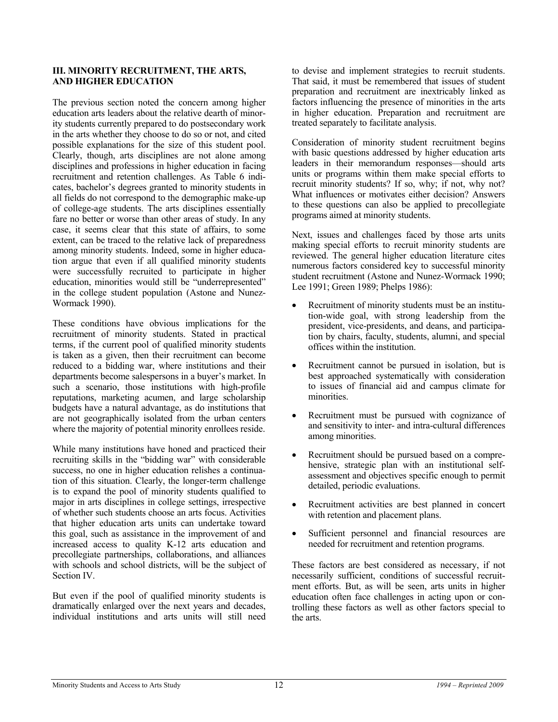#### **III. MINORITY RECRUITMENT, THE ARTS, AND HIGHER EDUCATION**

The previous section noted the concern among higher education arts leaders about the relative dearth of minority students currently prepared to do postsecondary work in the arts whether they choose to do so or not, and cited possible explanations for the size of this student pool. Clearly, though, arts disciplines are not alone among disciplines and professions in higher education in facing recruitment and retention challenges. As Table 6 indicates, bachelor's degrees granted to minority students in all fields do not correspond to the demographic make-up of college-age students. The arts disciplines essentially fare no better or worse than other areas of study. In any case, it seems clear that this state of affairs, to some extent, can be traced to the relative lack of preparedness among minority students. Indeed, some in higher education argue that even if all qualified minority students were successfully recruited to participate in higher education, minorities would still be "underrepresented" in the college student population (Astone and Nunez-Wormack 1990).

These conditions have obvious implications for the recruitment of minority students. Stated in practical terms, if the current pool of qualified minority students is taken as a given, then their recruitment can become reduced to a bidding war, where institutions and their departments become salespersons in a buyer's market. In such a scenario, those institutions with high-profile reputations, marketing acumen, and large scholarship budgets have a natural advantage, as do institutions that are not geographically isolated from the urban centers where the majority of potential minority enrollees reside.

While many institutions have honed and practiced their recruiting skills in the "bidding war" with considerable success, no one in higher education relishes a continuation of this situation. Clearly, the longer-term challenge is to expand the pool of minority students qualified to major in arts disciplines in college settings, irrespective of whether such students choose an arts focus. Activities that higher education arts units can undertake toward this goal, such as assistance in the improvement of and increased access to quality K-12 arts education and precollegiate partnerships, collaborations, and alliances with schools and school districts, will be the subject of Section IV.

But even if the pool of qualified minority students is dramatically enlarged over the next years and decades, individual institutions and arts units will still need

to devise and implement strategies to recruit students. That said, it must be remembered that issues of student preparation and recruitment are inextricably linked as factors influencing the presence of minorities in the arts in higher education. Preparation and recruitment are treated separately to facilitate analysis.

Consideration of minority student recruitment begins with basic questions addressed by higher education arts leaders in their memorandum responses—should arts units or programs within them make special efforts to recruit minority students? If so, why; if not, why not? What influences or motivates either decision? Answers to these questions can also be applied to precollegiate programs aimed at minority students.

Next, issues and challenges faced by those arts units making special efforts to recruit minority students are reviewed. The general higher education literature cites numerous factors considered key to successful minority student recruitment (Astone and Nunez-Wormack 1990; Lee 1991; Green 1989; Phelps 1986):

- Recruitment of minority students must be an institution-wide goal, with strong leadership from the president, vice-presidents, and deans, and participation by chairs, faculty, students, alumni, and special offices within the institution.
- Recruitment cannot be pursued in isolation, but is best approached systematically with consideration to issues of financial aid and campus climate for minorities.
- Recruitment must be pursued with cognizance of and sensitivity to inter- and intra-cultural differences among minorities.
- Recruitment should be pursued based on a comprehensive, strategic plan with an institutional selfassessment and objectives specific enough to permit detailed, periodic evaluations.
- Recruitment activities are best planned in concert with retention and placement plans.
- Sufficient personnel and financial resources are needed for recruitment and retention programs.

These factors are best considered as necessary, if not necessarily sufficient, conditions of successful recruitment efforts. But, as will be seen, arts units in higher education often face challenges in acting upon or controlling these factors as well as other factors special to the arts.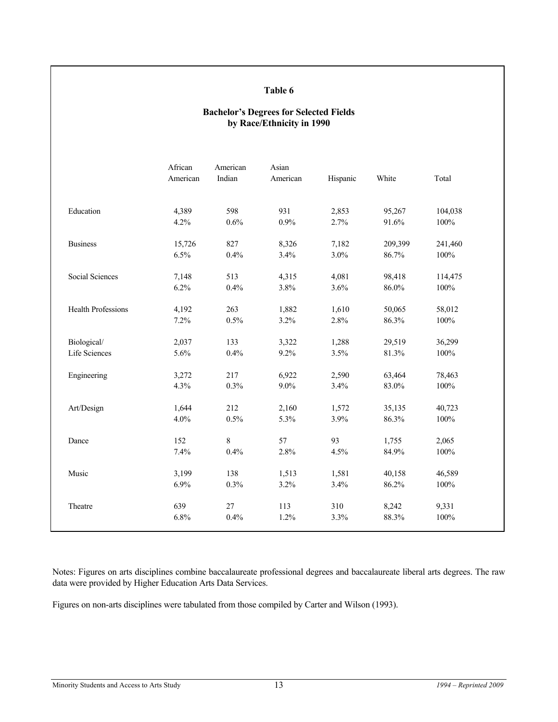#### **Table 6**

#### **Bachelor's Degrees for Selected Fields by Race/Ethnicity in 1990**

| Education<br><b>Business</b> | 4,389<br>4.2% | 598   |         |       |          |         |
|------------------------------|---------------|-------|---------|-------|----------|---------|
|                              |               |       | 931     | 2,853 | 95,267   | 104,038 |
|                              |               | 0.6%  | 0.9%    | 2.7%  | 91.6%    | 100%    |
|                              | 15,726        | 827   | 8,326   | 7,182 | 209,399  | 241,460 |
|                              | 6.5%          | 0.4%  | 3.4%    | 3.0%  | 86.7%    | $100\%$ |
| Social Sciences              | 7,148         | 513   | 4,315   | 4,081 | 98,418   | 114,475 |
|                              | 6.2%          | 0.4%  | 3.8%    | 3.6%  | $86.0\%$ | 100%    |
| <b>Health Professions</b>    | 4,192         | 263   | 1,882   | 1,610 | 50,065   | 58,012  |
|                              | 7.2%          | 0.5%  | 3.2%    | 2.8%  | 86.3%    | 100%    |
| Biological/                  | 2,037         | 133   | 3,322   | 1,288 | 29,519   | 36,299  |
| Life Sciences                | 5.6%          | 0.4%  | 9.2%    | 3.5%  | 81.3%    | 100%    |
| Engineering                  | 3,272         | 217   | 6,922   | 2,590 | 63,464   | 78,463  |
|                              | 4.3%          | 0.3%  | $9.0\%$ | 3.4%  | 83.0%    | $100\%$ |
| Art/Design                   | 1,644         | 212   | 2,160   | 1,572 | 35,135   | 40,723  |
|                              | 4.0%          | 0.5%  | 5.3%    | 3.9%  | 86.3%    | 100%    |
| Dance                        | 152           | $8\,$ | 57      | 93    | 1,755    | 2,065   |
|                              | 7.4%          | 0.4%  | 2.8%    | 4.5%  | 84.9%    | $100\%$ |
| Music                        | 3,199         | 138   | 1,513   | 1,581 | 40,158   | 46,589  |
|                              | 6.9%          | 0.3%  | 3.2%    | 3.4%  | 86.2%    | $100\%$ |
| Theatre                      | 639           | 27    | 113     | 310   | 8,242    | 9,331   |
|                              | 6.8%          | 0.4%  | 1.2%    | 3.3%  | 88.3%    | 100%    |

Notes: Figures on arts disciplines combine baccalaureate professional degrees and baccalaureate liberal arts degrees. The raw data were provided by Higher Education Arts Data Services.

Figures on non-arts disciplines were tabulated from those compiled by Carter and Wilson (1993).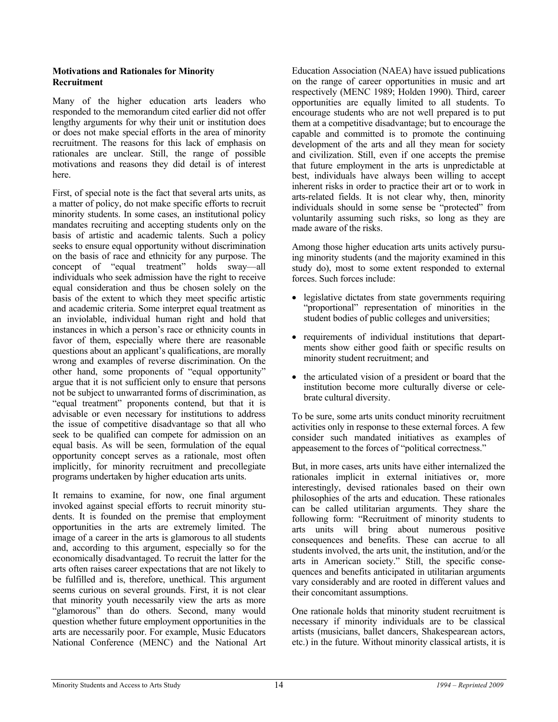#### **Motivations and Rationales for Minority Recruitment**

Many of the higher education arts leaders who responded to the memorandum cited earlier did not offer lengthy arguments for why their unit or institution does or does not make special efforts in the area of minority recruitment. The reasons for this lack of emphasis on rationales are unclear. Still, the range of possible motivations and reasons they did detail is of interest here.

First, of special note is the fact that several arts units, as a matter of policy, do not make specific efforts to recruit minority students. In some cases, an institutional policy mandates recruiting and accepting students only on the basis of artistic and academic talents. Such a policy seeks to ensure equal opportunity without discrimination on the basis of race and ethnicity for any purpose. The concept of "equal treatment" holds sway—all individuals who seek admission have the right to receive equal consideration and thus be chosen solely on the basis of the extent to which they meet specific artistic and academic criteria. Some interpret equal treatment as an inviolable, individual human right and hold that instances in which a person's race or ethnicity counts in favor of them, especially where there are reasonable questions about an applicant's qualifications, are morally wrong and examples of reverse discrimination. On the other hand, some proponents of "equal opportunity" argue that it is not sufficient only to ensure that persons not be subject to unwarranted forms of discrimination, as "equal treatment" proponents contend, but that it is advisable or even necessary for institutions to address the issue of competitive disadvantage so that all who seek to be qualified can compete for admission on an equal basis. As will be seen, formulation of the equal opportunity concept serves as a rationale, most often implicitly, for minority recruitment and precollegiate programs undertaken by higher education arts units.

It remains to examine, for now, one final argument invoked against special efforts to recruit minority students. It is founded on the premise that employment opportunities in the arts are extremely limited. The image of a career in the arts is glamorous to all students and, according to this argument, especially so for the economically disadvantaged. To recruit the latter for the arts often raises career expectations that are not likely to be fulfilled and is, therefore, unethical. This argument seems curious on several grounds. First, it is not clear that minority youth necessarily view the arts as more "glamorous" than do others. Second, many would question whether future employment opportunities in the arts are necessarily poor. For example, Music Educators National Conference (MENC) and the National Art Education Association (NAEA) have issued publications on the range of career opportunities in music and art respectively (MENC 1989; Holden 1990). Third, career opportunities are equally limited to all students. To encourage students who are not well prepared is to put them at a competitive disadvantage; but to encourage the capable and committed is to promote the continuing development of the arts and all they mean for society and civilization. Still, even if one accepts the premise that future employment in the arts is unpredictable at best, individuals have always been willing to accept inherent risks in order to practice their art or to work in arts-related fields. It is not clear why, then, minority individuals should in some sense be "protected" from voluntarily assuming such risks, so long as they are made aware of the risks.

Among those higher education arts units actively pursuing minority students (and the majority examined in this study do), most to some extent responded to external forces. Such forces include:

- legislative dictates from state governments requiring "proportional" representation of minorities in the student bodies of public colleges and universities;
- requirements of individual institutions that departments show either good faith or specific results on minority student recruitment; and
- the articulated vision of a president or board that the institution become more culturally diverse or celebrate cultural diversity.

To be sure, some arts units conduct minority recruitment activities only in response to these external forces. A few consider such mandated initiatives as examples of appeasement to the forces of "political correctness."

But, in more cases, arts units have either internalized the rationales implicit in external initiatives or, more interestingly, devised rationales based on their own philosophies of the arts and education. These rationales can be called utilitarian arguments. They share the following form: "Recruitment of minority students to arts units will bring about numerous positive consequences and benefits. These can accrue to all students involved, the arts unit, the institution, and/or the arts in American society." Still, the specific consequences and benefits anticipated in utilitarian arguments vary considerably and are rooted in different values and their concomitant assumptions.

One rationale holds that minority student recruitment is necessary if minority individuals are to be classical artists (musicians, ballet dancers, Shakespearean actors, etc.) in the future. Without minority classical artists, it is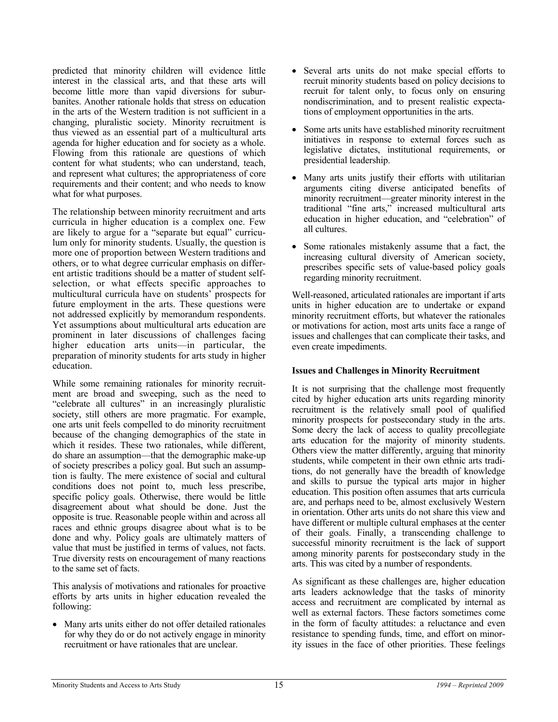predicted that minority children will evidence little interest in the classical arts, and that these arts will become little more than vapid diversions for suburbanites. Another rationale holds that stress on education in the arts of the Western tradition is not sufficient in a changing, pluralistic society. Minority recruitment is thus viewed as an essential part of a multicultural arts agenda for higher education and for society as a whole. Flowing from this rationale are questions of which content for what students; who can understand, teach, and represent what cultures; the appropriateness of core requirements and their content; and who needs to know what for what purposes.

The relationship between minority recruitment and arts curricula in higher education is a complex one. Few are likely to argue for a "separate but equal" curriculum only for minority students. Usually, the question is more one of proportion between Western traditions and others, or to what degree curricular emphasis on different artistic traditions should be a matter of student selfselection, or what effects specific approaches to multicultural curricula have on students' prospects for future employment in the arts. These questions were not addressed explicitly by memorandum respondents. Yet assumptions about multicultural arts education are prominent in later discussions of challenges facing higher education arts units—in particular, the preparation of minority students for arts study in higher education.

While some remaining rationales for minority recruitment are broad and sweeping, such as the need to "celebrate all cultures" in an increasingly pluralistic society, still others are more pragmatic. For example, one arts unit feels compelled to do minority recruitment because of the changing demographics of the state in which it resides. These two rationales, while different, do share an assumption—that the demographic make-up of society prescribes a policy goal. But such an assumption is faulty. The mere existence of social and cultural conditions does not point to, much less prescribe, specific policy goals. Otherwise, there would be little disagreement about what should be done. Just the opposite is true. Reasonable people within and across all races and ethnic groups disagree about what is to be done and why. Policy goals are ultimately matters of value that must be justified in terms of values, not facts. True diversity rests on encouragement of many reactions to the same set of facts.

This analysis of motivations and rationales for proactive efforts by arts units in higher education revealed the following:

• Many arts units either do not offer detailed rationales for why they do or do not actively engage in minority recruitment or have rationales that are unclear.

- Several arts units do not make special efforts to recruit minority students based on policy decisions to recruit for talent only, to focus only on ensuring nondiscrimination, and to present realistic expectations of employment opportunities in the arts.
- Some arts units have established minority recruitment initiatives in response to external forces such as legislative dictates, institutional requirements, or presidential leadership.
- Many arts units justify their efforts with utilitarian arguments citing diverse anticipated benefits of minority recruitment—greater minority interest in the traditional "fine arts," increased multicultural arts education in higher education, and "celebration" of all cultures.
- Some rationales mistakenly assume that a fact, the increasing cultural diversity of American society, prescribes specific sets of value-based policy goals regarding minority recruitment.

Well-reasoned, articulated rationales are important if arts units in higher education are to undertake or expand minority recruitment efforts, but whatever the rationales or motivations for action, most arts units face a range of issues and challenges that can complicate their tasks, and even create impediments.

#### **Issues and Challenges in Minority Recruitment**

It is not surprising that the challenge most frequently cited by higher education arts units regarding minority recruitment is the relatively small pool of qualified minority prospects for postsecondary study in the arts. Some decry the lack of access to quality precollegiate arts education for the majority of minority students. Others view the matter differently, arguing that minority students, while competent in their own ethnic arts traditions, do not generally have the breadth of knowledge and skills to pursue the typical arts major in higher education. This position often assumes that arts curricula are, and perhaps need to be, almost exclusively Western in orientation. Other arts units do not share this view and have different or multiple cultural emphases at the center of their goals. Finally, a transcending challenge to successful minority recruitment is the lack of support among minority parents for postsecondary study in the arts. This was cited by a number of respondents.

As significant as these challenges are, higher education arts leaders acknowledge that the tasks of minority access and recruitment are complicated by internal as well as external factors. These factors sometimes come in the form of faculty attitudes: a reluctance and even resistance to spending funds, time, and effort on minority issues in the face of other priorities. These feelings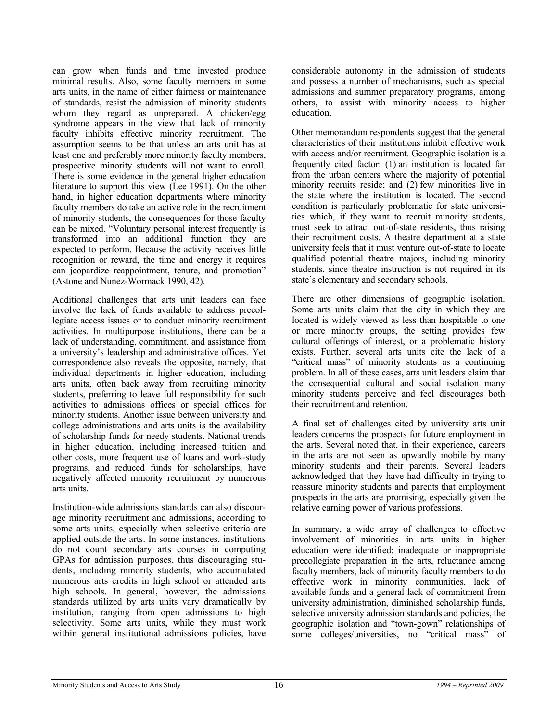can grow when funds and time invested produce minimal results. Also, some faculty members in some arts units, in the name of either fairness or maintenance of standards, resist the admission of minority students whom they regard as unprepared. A chicken/egg syndrome appears in the view that lack of minority faculty inhibits effective minority recruitment. The assumption seems to be that unless an arts unit has at least one and preferably more minority faculty members, prospective minority students will not want to enroll. There is some evidence in the general higher education literature to support this view (Lee 1991). On the other hand, in higher education departments where minority faculty members do take an active role in the recruitment of minority students, the consequences for those faculty can be mixed. "Voluntary personal interest frequently is transformed into an additional function they are expected to perform. Because the activity receives little recognition or reward, the time and energy it requires can jeopardize reappointment, tenure, and promotion" (Astone and Nunez-Wormack 1990, 42).

Additional challenges that arts unit leaders can face involve the lack of funds available to address precollegiate access issues or to conduct minority recruitment activities. In multipurpose institutions, there can be a lack of understanding, commitment, and assistance from a university's leadership and administrative offices. Yet correspondence also reveals the opposite, namely, that individual departments in higher education, including arts units, often back away from recruiting minority students, preferring to leave full responsibility for such activities to admissions offices or special offices for minority students. Another issue between university and college administrations and arts units is the availability of scholarship funds for needy students. National trends in higher education, including increased tuition and other costs, more frequent use of loans and work-study programs, and reduced funds for scholarships, have negatively affected minority recruitment by numerous arts units.

Institution-wide admissions standards can also discourage minority recruitment and admissions, according to some arts units, especially when selective criteria are applied outside the arts. In some instances, institutions do not count secondary arts courses in computing GPAs for admission purposes, thus discouraging students, including minority students, who accumulated numerous arts credits in high school or attended arts high schools. In general, however, the admissions standards utilized by arts units vary dramatically by institution, ranging from open admissions to high selectivity. Some arts units, while they must work within general institutional admissions policies, have considerable autonomy in the admission of students and possess a number of mechanisms, such as special admissions and summer preparatory programs, among others, to assist with minority access to higher education.

Other memorandum respondents suggest that the general characteristics of their institutions inhibit effective work with access and/or recruitment. Geographic isolation is a frequently cited factor: (1) an institution is located far from the urban centers where the majority of potential minority recruits reside; and (2) few minorities live in the state where the institution is located. The second condition is particularly problematic for state universities which, if they want to recruit minority students, must seek to attract out-of-state residents, thus raising their recruitment costs. A theatre department at a state university feels that it must venture out-of-state to locate qualified potential theatre majors, including minority students, since theatre instruction is not required in its state's elementary and secondary schools.

There are other dimensions of geographic isolation. Some arts units claim that the city in which they are located is widely viewed as less than hospitable to one or more minority groups, the setting provides few cultural offerings of interest, or a problematic history exists. Further, several arts units cite the lack of a "critical mass" of minority students as a continuing problem. In all of these cases, arts unit leaders claim that the consequential cultural and social isolation many minority students perceive and feel discourages both their recruitment and retention.

A final set of challenges cited by university arts unit leaders concerns the prospects for future employment in the arts. Several noted that, in their experience, careers in the arts are not seen as upwardly mobile by many minority students and their parents. Several leaders acknowledged that they have had difficulty in trying to reassure minority students and parents that employment prospects in the arts are promising, especially given the relative earning power of various professions.

In summary, a wide array of challenges to effective involvement of minorities in arts units in higher education were identified: inadequate or inappropriate precollegiate preparation in the arts, reluctance among faculty members, lack of minority faculty members to do effective work in minority communities, lack of available funds and a general lack of commitment from university administration, diminished scholarship funds, selective university admission standards and policies, the geographic isolation and "town-gown" relationships of some colleges/universities, no "critical mass" of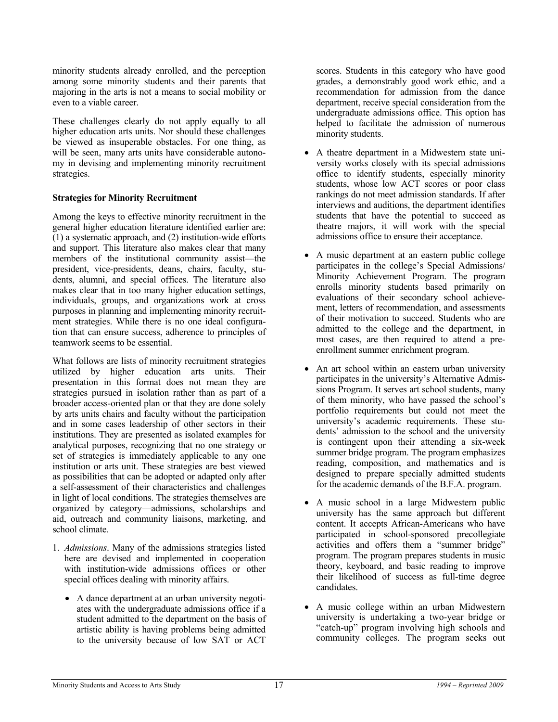minority students already enrolled, and the perception among some minority students and their parents that majoring in the arts is not a means to social mobility or even to a viable career.

These challenges clearly do not apply equally to all higher education arts units. Nor should these challenges be viewed as insuperable obstacles. For one thing, as will be seen, many arts units have considerable autonomy in devising and implementing minority recruitment strategies.

#### **Strategies for Minority Recruitment**

Among the keys to effective minority recruitment in the general higher education literature identified earlier are:  $(1)$  a systematic approach, and  $(2)$  institution-wide efforts and support. This literature also makes clear that many members of the institutional community assist—the president, vice-presidents, deans, chairs, faculty, students, alumni, and special offices. The literature also makes clear that in too many higher education settings, individuals, groups, and organizations work at cross purposes in planning and implementing minority recruitment strategies. While there is no one ideal configuration that can ensure success, adherence to principles of teamwork seems to be essential.

What follows are lists of minority recruitment strategies utilized by higher education arts units. Their presentation in this format does not mean they are strategies pursued in isolation rather than as part of a broader access-oriented plan or that they are done solely by arts units chairs and faculty without the participation and in some cases leadership of other sectors in their institutions. They are presented as isolated examples for analytical purposes, recognizing that no one strategy or set of strategies is immediately applicable to any one institution or arts unit. These strategies are best viewed as possibilities that can be adopted or adapted only after a self-assessment of their characteristics and challenges in light of local conditions. The strategies themselves are organized by category—admissions, scholarships and aid, outreach and community liaisons, marketing, and school climate.

- 1. *Admissions*. Many of the admissions strategies listed here are devised and implemented in cooperation with institution-wide admissions offices or other special offices dealing with minority affairs.
	- A dance department at an urban university negotiates with the undergraduate admissions office if a student admitted to the department on the basis of artistic ability is having problems being admitted to the university because of low SAT or ACT

scores. Students in this category who have good grades, a demonstrably good work ethic, and a recommendation for admission from the dance department, receive special consideration from the undergraduate admissions office. This option has helped to facilitate the admission of numerous minority students.

- A theatre department in a Midwestern state university works closely with its special admissions office to identify students, especially minority students, whose low ACT scores or poor class rankings do not meet admission standards. If after interviews and auditions, the department identifies students that have the potential to succeed as theatre majors, it will work with the special admissions office to ensure their acceptance.
- A music department at an eastern public college participates in the college's Special Admissions/ Minority Achievement Program. The program enrolls minority students based primarily on evaluations of their secondary school achievement, letters of recommendation, and assessments of their motivation to succeed. Students who are admitted to the college and the department, in most cases, are then required to attend a preenrollment summer enrichment program.
- An art school within an eastern urban university participates in the university's Alternative Admissions Program. It serves art school students, many of them minority, who have passed the school's portfolio requirements but could not meet the university's academic requirements. These students' admission to the school and the university is contingent upon their attending a six-week summer bridge program. The program emphasizes reading, composition, and mathematics and is designed to prepare specially admitted students for the academic demands of the B.F.A. program.
- A music school in a large Midwestern public university has the same approach but different content. It accepts African-Americans who have participated in school-sponsored precollegiate activities and offers them a "summer bridge" program. The program prepares students in music theory, keyboard, and basic reading to improve their likelihood of success as full-time degree candidates.
- A music college within an urban Midwestern university is undertaking a two-year bridge or "catch-up" program involving high schools and community colleges. The program seeks out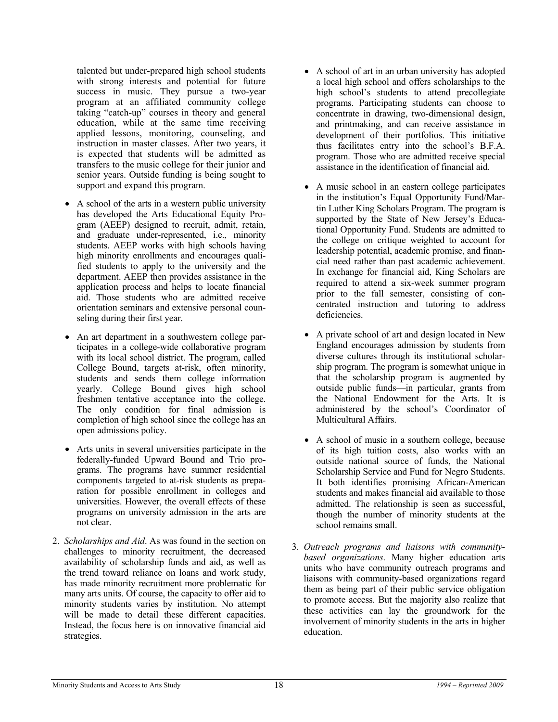talented but under-prepared high school students with strong interests and potential for future success in music. They pursue a two-year program at an affiliated community college taking "catch-up" courses in theory and general education, while at the same time receiving applied lessons, monitoring, counseling, and instruction in master classes. After two years, it is expected that students will be admitted as transfers to the music college for their junior and senior years. Outside funding is being sought to support and expand this program.

- A school of the arts in a western public university has developed the Arts Educational Equity Program (AEEP) designed to recruit, admit, retain, and graduate under-represented, i.e., minority students. AEEP works with high schools having high minority enrollments and encourages qualified students to apply to the university and the department. AEEP then provides assistance in the application process and helps to locate financial aid. Those students who are admitted receive orientation seminars and extensive personal counseling during their first year.
- An art department in a southwestern college participates in a college-wide collaborative program with its local school district. The program, called College Bound, targets at-risk, often minority, students and sends them college information yearly. College Bound gives high school freshmen tentative acceptance into the college. The only condition for final admission is completion of high school since the college has an open admissions policy.
- Arts units in several universities participate in the federally-funded Upward Bound and Trio programs. The programs have summer residential components targeted to at-risk students as preparation for possible enrollment in colleges and universities. However, the overall effects of these programs on university admission in the arts are not clear.
- 2. *Scholarships and Aid*. As was found in the section on challenges to minority recruitment, the decreased availability of scholarship funds and aid, as well as the trend toward reliance on loans and work study, has made minority recruitment more problematic for many arts units. Of course, the capacity to offer aid to minority students varies by institution. No attempt will be made to detail these different capacities. Instead, the focus here is on innovative financial aid strategies.
- A school of art in an urban university has adopted a local high school and offers scholarships to the high school's students to attend precollegiate programs. Participating students can choose to concentrate in drawing, two-dimensional design, and printmaking, and can receive assistance in development of their portfolios. This initiative thus facilitates entry into the school's B.F.A. program. Those who are admitted receive special assistance in the identification of financial aid.
- A music school in an eastern college participates in the institution's Equal Opportunity Fund/Martin Luther King Scholars Program. The program is supported by the State of New Jersey's Educational Opportunity Fund. Students are admitted to the college on critique weighted to account for leadership potential, academic promise, and financial need rather than past academic achievement. In exchange for financial aid, King Scholars are required to attend a six-week summer program prior to the fall semester, consisting of concentrated instruction and tutoring to address deficiencies.
- A private school of art and design located in New England encourages admission by students from diverse cultures through its institutional scholarship program. The program is somewhat unique in that the scholarship program is augmented by outside public funds—in particular, grants from the National Endowment for the Arts. It is administered by the school's Coordinator of Multicultural Affairs.
- A school of music in a southern college, because of its high tuition costs, also works with an outside national source of funds, the National Scholarship Service and Fund for Negro Students. It both identifies promising African-American students and makes financial aid available to those admitted. The relationship is seen as successful, though the number of minority students at the school remains small.
- 3. *Outreach programs and liaisons with communitybased organizations*. Many higher education arts units who have community outreach programs and liaisons with community-based organizations regard them as being part of their public service obligation to promote access. But the majority also realize that these activities can lay the groundwork for the involvement of minority students in the arts in higher education.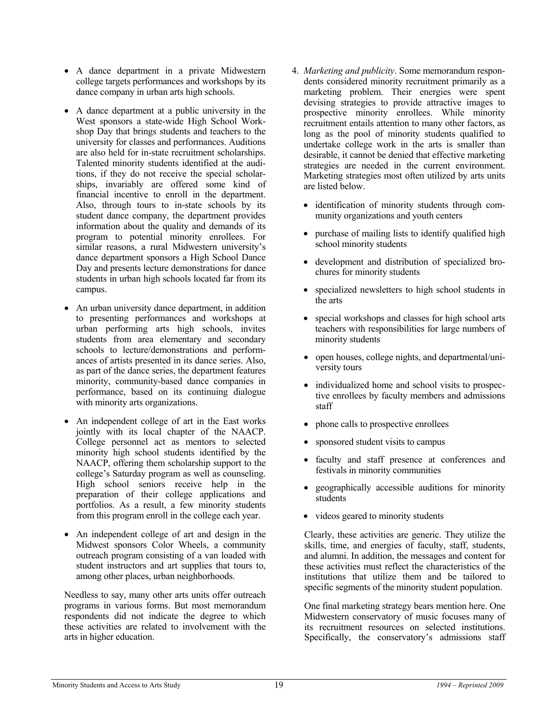- A dance department in a private Midwestern college targets performances and workshops by its dance company in urban arts high schools.
- A dance department at a public university in the West sponsors a state-wide High School Workshop Day that brings students and teachers to the university for classes and performances. Auditions are also held for in-state recruitment scholarships. Talented minority students identified at the auditions, if they do not receive the special scholarships, invariably are offered some kind of financial incentive to enroll in the department. Also, through tours to in-state schools by its student dance company, the department provides information about the quality and demands of its program to potential minority enrollees. For similar reasons, a rural Midwestern university's dance department sponsors a High School Dance Day and presents lecture demonstrations for dance students in urban high schools located far from its campus.
- An urban university dance department, in addition to presenting performances and workshops at urban performing arts high schools, invites students from area elementary and secondary schools to lecture/demonstrations and performances of artists presented in its dance series. Also, as part of the dance series, the department features minority, community-based dance companies in performance, based on its continuing dialogue with minority arts organizations.
- An independent college of art in the East works jointly with its local chapter of the NAACP. College personnel act as mentors to selected minority high school students identified by the NAACP, offering them scholarship support to the college's Saturday program as well as counseling. High school seniors receive help in the preparation of their college applications and portfolios. As a result, a few minority students from this program enroll in the college each year.
- An independent college of art and design in the Midwest sponsors Color Wheels, a community outreach program consisting of a van loaded with student instructors and art supplies that tours to, among other places, urban neighborhoods.

 Needless to say, many other arts units offer outreach programs in various forms. But most memorandum respondents did not indicate the degree to which these activities are related to involvement with the arts in higher education.

- 4. *Marketing and publicity*. Some memorandum respondents considered minority recruitment primarily as a marketing problem. Their energies were spent devising strategies to provide attractive images to prospective minority enrollees. While minority recruitment entails attention to many other factors, as long as the pool of minority students qualified to undertake college work in the arts is smaller than desirable, it cannot be denied that effective marketing strategies are needed in the current environment. Marketing strategies most often utilized by arts units are listed below.
	- identification of minority students through community organizations and youth centers
	- purchase of mailing lists to identify qualified high school minority students
	- development and distribution of specialized brochures for minority students
	- specialized newsletters to high school students in the arts
	- special workshops and classes for high school arts teachers with responsibilities for large numbers of minority students
	- open houses, college nights, and departmental/university tours
	- individualized home and school visits to prospective enrollees by faculty members and admissions staff
	- phone calls to prospective enrollees
	- sponsored student visits to campus
	- faculty and staff presence at conferences and festivals in minority communities
	- geographically accessible auditions for minority students
	- videos geared to minority students

Clearly, these activities are generic. They utilize the skills, time, and energies of faculty, staff, students, and alumni. In addition, the messages and content for these activities must reflect the characteristics of the institutions that utilize them and be tailored to specific segments of the minority student population.

One final marketing strategy bears mention here. One Midwestern conservatory of music focuses many of its recruitment resources on selected institutions. Specifically, the conservatory's admissions staff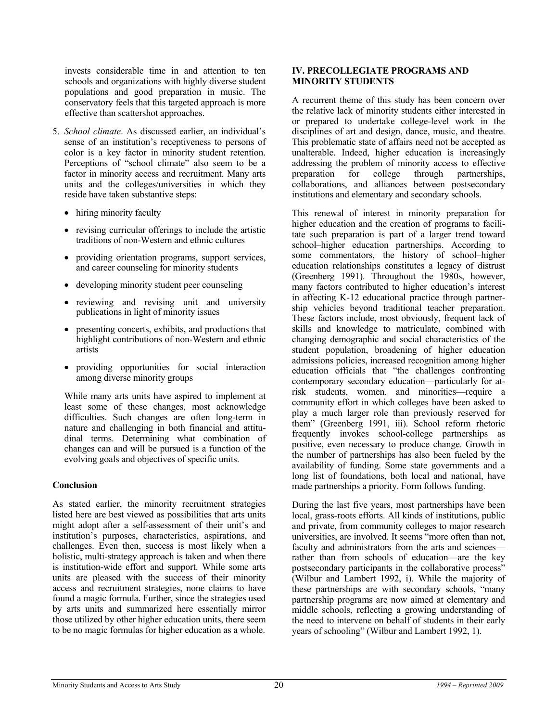invests considerable time in and attention to ten schools and organizations with highly diverse student populations and good preparation in music. The conservatory feels that this targeted approach is more effective than scattershot approaches.

- 5. *School climate*. As discussed earlier, an individual's sense of an institution's receptiveness to persons of color is a key factor in minority student retention. Perceptions of "school climate" also seem to be a factor in minority access and recruitment. Many arts units and the colleges/universities in which they reside have taken substantive steps:
	- hiring minority faculty
	- revising curricular offerings to include the artistic traditions of non-Western and ethnic cultures
	- providing orientation programs, support services, and career counseling for minority students
	- developing minority student peer counseling
	- reviewing and revising unit and university publications in light of minority issues
	- presenting concerts, exhibits, and productions that highlight contributions of non-Western and ethnic artists
	- providing opportunities for social interaction among diverse minority groups

 While many arts units have aspired to implement at least some of these changes, most acknowledge difficulties. Such changes are often long-term in nature and challenging in both financial and attitudinal terms. Determining what combination of changes can and will be pursued is a function of the evolving goals and objectives of specific units.

#### **Conclusion**

As stated earlier, the minority recruitment strategies listed here are best viewed as possibilities that arts units might adopt after a self-assessment of their unit's and institution's purposes, characteristics, aspirations, and challenges. Even then, success is most likely when a holistic, multi-strategy approach is taken and when there is institution-wide effort and support. While some arts units are pleased with the success of their minority access and recruitment strategies, none claims to have found a magic formula. Further, since the strategies used by arts units and summarized here essentially mirror those utilized by other higher education units, there seem to be no magic formulas for higher education as a whole.

#### **IV. PRECOLLEGIATE PROGRAMS AND MINORITY STUDENTS**

A recurrent theme of this study has been concern over the relative lack of minority students either interested in or prepared to undertake college-level work in the disciplines of art and design, dance, music, and theatre. This problematic state of affairs need not be accepted as unalterable. Indeed, higher education is increasingly addressing the problem of minority access to effective preparation for college through partnerships, collaborations, and alliances between postsecondary institutions and elementary and secondary schools.

This renewal of interest in minority preparation for higher education and the creation of programs to facilitate such preparation is part of a larger trend toward school–higher education partnerships. According to some commentators, the history of school–higher education relationships constitutes a legacy of distrust (Greenberg 1991). Throughout the 1980s, however, many factors contributed to higher education's interest in affecting K-12 educational practice through partnership vehicles beyond traditional teacher preparation. These factors include, most obviously, frequent lack of skills and knowledge to matriculate, combined with changing demographic and social characteristics of the student population, broadening of higher education admissions policies, increased recognition among higher education officials that "the challenges confronting contemporary secondary education—particularly for atrisk students, women, and minorities—require a community effort in which colleges have been asked to play a much larger role than previously reserved for them" (Greenberg 1991, iii). School reform rhetoric frequently invokes school-college partnerships as positive, even necessary to produce change. Growth in the number of partnerships has also been fueled by the availability of funding. Some state governments and a long list of foundations, both local and national, have made partnerships a priority. Form follows funding.

During the last five years, most partnerships have been local, grass-roots efforts. All kinds of institutions, public and private, from community colleges to major research universities, are involved. It seems "more often than not, faculty and administrators from the arts and sciences rather than from schools of education—are the key postsecondary participants in the collaborative process" (Wilbur and Lambert 1992, i). While the majority of these partnerships are with secondary schools, "many partnership programs are now aimed at elementary and middle schools, reflecting a growing understanding of the need to intervene on behalf of students in their early years of schooling" (Wilbur and Lambert 1992, 1).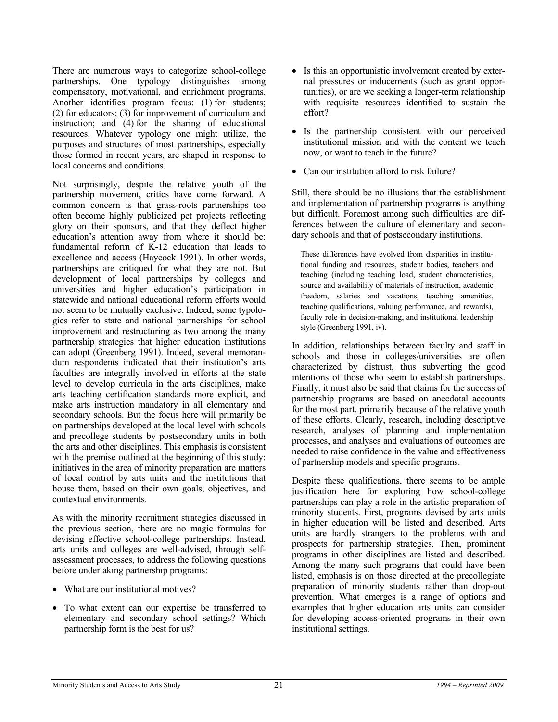There are numerous ways to categorize school-college partnerships. One typology distinguishes among compensatory, motivational, and enrichment programs. Another identifies program focus: (1) for students; (2) for educators; (3) for improvement of curriculum and instruction; and (4) for the sharing of educational resources. Whatever typology one might utilize, the purposes and structures of most partnerships, especially those formed in recent years, are shaped in response to local concerns and conditions.

Not surprisingly, despite the relative youth of the partnership movement, critics have come forward. A common concern is that grass-roots partnerships too often become highly publicized pet projects reflecting glory on their sponsors, and that they deflect higher education's attention away from where it should be: fundamental reform of K-12 education that leads to excellence and access (Haycock 1991). In other words, partnerships are critiqued for what they are not. But development of local partnerships by colleges and universities and higher education's participation in statewide and national educational reform efforts would not seem to be mutually exclusive. Indeed, some typologies refer to state and national partnerships for school improvement and restructuring as two among the many partnership strategies that higher education institutions can adopt (Greenberg 1991). Indeed, several memorandum respondents indicated that their institution's arts faculties are integrally involved in efforts at the state level to develop curricula in the arts disciplines, make arts teaching certification standards more explicit, and make arts instruction mandatory in all elementary and secondary schools. But the focus here will primarily be on partnerships developed at the local level with schools and precollege students by postsecondary units in both the arts and other disciplines. This emphasis is consistent with the premise outlined at the beginning of this study: initiatives in the area of minority preparation are matters of local control by arts units and the institutions that house them, based on their own goals, objectives, and contextual environments.

As with the minority recruitment strategies discussed in the previous section, there are no magic formulas for devising effective school-college partnerships. Instead, arts units and colleges are well-advised, through selfassessment processes, to address the following questions before undertaking partnership programs:

- What are our institutional motives?
- To what extent can our expertise be transferred to elementary and secondary school settings? Which partnership form is the best for us?
- Is this an opportunistic involvement created by external pressures or inducements (such as grant opportunities), or are we seeking a longer-term relationship with requisite resources identified to sustain the effort?
- Is the partnership consistent with our perceived institutional mission and with the content we teach now, or want to teach in the future?
- Can our institution afford to risk failure?

Still, there should be no illusions that the establishment and implementation of partnership programs is anything but difficult. Foremost among such difficulties are differences between the culture of elementary and secondary schools and that of postsecondary institutions.

These differences have evolved from disparities in institutional funding and resources, student bodies, teachers and teaching (including teaching load, student characteristics, source and availability of materials of instruction, academic freedom, salaries and vacations, teaching amenities, teaching qualifications, valuing performance, and rewards), faculty role in decision-making, and institutional leadership style (Greenberg 1991, iv).

In addition, relationships between faculty and staff in schools and those in colleges/universities are often characterized by distrust, thus subverting the good intentions of those who seem to establish partnerships. Finally, it must also be said that claims for the success of partnership programs are based on anecdotal accounts for the most part, primarily because of the relative youth of these efforts. Clearly, research, including descriptive research, analyses of planning and implementation processes, and analyses and evaluations of outcomes are needed to raise confidence in the value and effectiveness of partnership models and specific programs.

Despite these qualifications, there seems to be ample justification here for exploring how school-college partnerships can play a role in the artistic preparation of minority students. First, programs devised by arts units in higher education will be listed and described. Arts units are hardly strangers to the problems with and prospects for partnership strategies. Then, prominent programs in other disciplines are listed and described. Among the many such programs that could have been listed, emphasis is on those directed at the precollegiate preparation of minority students rather than drop-out prevention. What emerges is a range of options and examples that higher education arts units can consider for developing access-oriented programs in their own institutional settings.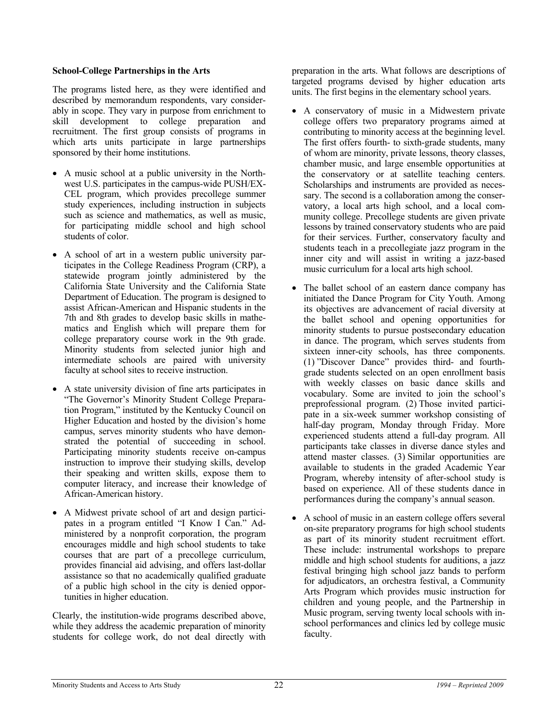#### **School-College Partnerships in the Arts**

The programs listed here, as they were identified and described by memorandum respondents, vary considerably in scope. They vary in purpose from enrichment to skill development to college preparation and recruitment. The first group consists of programs in which arts units participate in large partnerships sponsored by their home institutions.

- A music school at a public university in the Northwest U.S. participates in the campus-wide PUSH/EX-CEL program, which provides precollege summer study experiences, including instruction in subjects such as science and mathematics, as well as music, for participating middle school and high school students of color.
- A school of art in a western public university participates in the College Readiness Program (CRP), a statewide program jointly administered by the California State University and the California State Department of Education. The program is designed to assist African-American and Hispanic students in the 7th and 8th grades to develop basic skills in mathematics and English which will prepare them for college preparatory course work in the 9th grade. Minority students from selected junior high and intermediate schools are paired with university faculty at school sites to receive instruction.
- A state university division of fine arts participates in "The Governor's Minority Student College Preparation Program," instituted by the Kentucky Council on Higher Education and hosted by the division's home campus, serves minority students who have demonstrated the potential of succeeding in school. Participating minority students receive on-campus instruction to improve their studying skills, develop their speaking and written skills, expose them to computer literacy, and increase their knowledge of African-American history.
- A Midwest private school of art and design participates in a program entitled "I Know I Can." Administered by a nonprofit corporation, the program encourages middle and high school students to take courses that are part of a precollege curriculum, provides financial aid advising, and offers last-dollar assistance so that no academically qualified graduate of a public high school in the city is denied opportunities in higher education.

Clearly, the institution-wide programs described above, while they address the academic preparation of minority students for college work, do not deal directly with preparation in the arts. What follows are descriptions of targeted programs devised by higher education arts units. The first begins in the elementary school years.

- A conservatory of music in a Midwestern private college offers two preparatory programs aimed at contributing to minority access at the beginning level. The first offers fourth- to sixth-grade students, many of whom are minority, private lessons, theory classes, chamber music, and large ensemble opportunities at the conservatory or at satellite teaching centers. Scholarships and instruments are provided as necessary. The second is a collaboration among the conservatory, a local arts high school, and a local community college. Precollege students are given private lessons by trained conservatory students who are paid for their services. Further, conservatory faculty and students teach in a precollegiate jazz program in the inner city and will assist in writing a jazz-based music curriculum for a local arts high school.
- The ballet school of an eastern dance company has initiated the Dance Program for City Youth. Among its objectives are advancement of racial diversity at the ballet school and opening opportunities for minority students to pursue postsecondary education in dance. The program, which serves students from sixteen inner-city schools, has three components. (1) "Discover Dance" provides third- and fourthgrade students selected on an open enrollment basis with weekly classes on basic dance skills and vocabulary. Some are invited to join the school's preprofessional program. (2) Those invited participate in a six-week summer workshop consisting of half-day program, Monday through Friday. More experienced students attend a full-day program. All participants take classes in diverse dance styles and attend master classes. (3) Similar opportunities are available to students in the graded Academic Year Program, whereby intensity of after-school study is based on experience. All of these students dance in performances during the company's annual season.
- A school of music in an eastern college offers several on-site preparatory programs for high school students as part of its minority student recruitment effort. These include: instrumental workshops to prepare middle and high school students for auditions, a jazz festival bringing high school jazz bands to perform for adjudicators, an orchestra festival, a Community Arts Program which provides music instruction for children and young people, and the Partnership in Music program, serving twenty local schools with inschool performances and clinics led by college music faculty.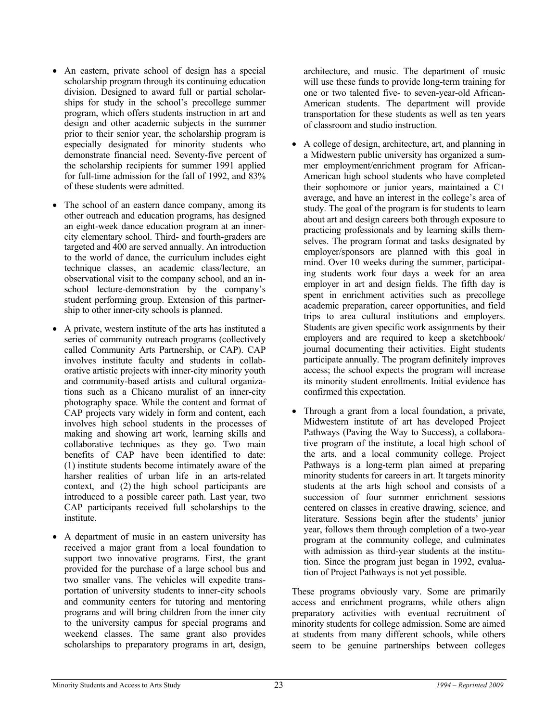- An eastern, private school of design has a special scholarship program through its continuing education division. Designed to award full or partial scholarships for study in the school's precollege summer program, which offers students instruction in art and design and other academic subjects in the summer prior to their senior year, the scholarship program is especially designated for minority students who demonstrate financial need. Seventy-five percent of the scholarship recipients for summer 1991 applied for full-time admission for the fall of 1992, and 83% of these students were admitted.
- The school of an eastern dance company, among its other outreach and education programs, has designed an eight-week dance education program at an innercity elementary school. Third- and fourth-graders are targeted and 400 are served annually. An introduction to the world of dance, the curriculum includes eight technique classes, an academic class/lecture, an observational visit to the company school, and an inschool lecture-demonstration by the company's student performing group. Extension of this partnership to other inner-city schools is planned.
- A private, western institute of the arts has instituted a series of community outreach programs (collectively called Community Arts Partnership, or CAP). CAP involves institute faculty and students in collaborative artistic projects with inner-city minority youth and community-based artists and cultural organizations such as a Chicano muralist of an inner-city photography space. While the content and format of CAP projects vary widely in form and content, each involves high school students in the processes of making and showing art work, learning skills and collaborative techniques as they go. Two main benefits of CAP have been identified to date: (1) institute students become intimately aware of the harsher realities of urban life in an arts-related context, and (2) the high school participants are introduced to a possible career path. Last year, two CAP participants received full scholarships to the institute.
- A department of music in an eastern university has received a major grant from a local foundation to support two innovative programs. First, the grant provided for the purchase of a large school bus and two smaller vans. The vehicles will expedite transportation of university students to inner-city schools and community centers for tutoring and mentoring programs and will bring children from the inner city to the university campus for special programs and weekend classes. The same grant also provides scholarships to preparatory programs in art, design,

architecture, and music. The department of music will use these funds to provide long-term training for one or two talented five- to seven-year-old African-American students. The department will provide transportation for these students as well as ten years of classroom and studio instruction.

- A college of design, architecture, art, and planning in a Midwestern public university has organized a summer employment/enrichment program for African-American high school students who have completed their sophomore or junior years, maintained a C+ average, and have an interest in the college's area of study. The goal of the program is for students to learn about art and design careers both through exposure to practicing professionals and by learning skills themselves. The program format and tasks designated by employer/sponsors are planned with this goal in mind. Over 10 weeks during the summer, participating students work four days a week for an area employer in art and design fields. The fifth day is spent in enrichment activities such as precollege academic preparation, career opportunities, and field trips to area cultural institutions and employers. Students are given specific work assignments by their employers and are required to keep a sketchbook/ journal documenting their activities. Eight students participate annually. The program definitely improves access; the school expects the program will increase its minority student enrollments. Initial evidence has confirmed this expectation.
- Through a grant from a local foundation, a private, Midwestern institute of art has developed Project Pathways (Paving the Way to Success), a collaborative program of the institute, a local high school of the arts, and a local community college. Project Pathways is a long-term plan aimed at preparing minority students for careers in art. It targets minority students at the arts high school and consists of a succession of four summer enrichment sessions centered on classes in creative drawing, science, and literature. Sessions begin after the students' junior year, follows them through completion of a two-year program at the community college, and culminates with admission as third-year students at the institution. Since the program just began in 1992, evaluation of Project Pathways is not yet possible.

These programs obviously vary. Some are primarily access and enrichment programs, while others align preparatory activities with eventual recruitment of minority students for college admission. Some are aimed at students from many different schools, while others seem to be genuine partnerships between colleges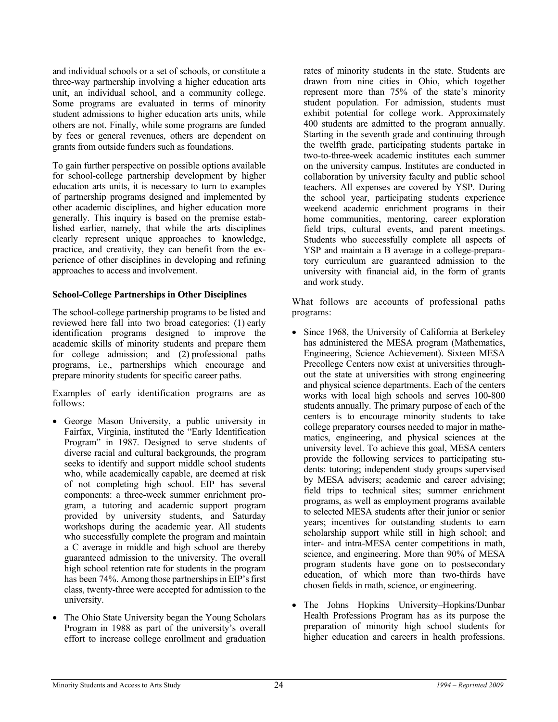and individual schools or a set of schools, or constitute a three-way partnership involving a higher education arts unit, an individual school, and a community college. Some programs are evaluated in terms of minority student admissions to higher education arts units, while others are not. Finally, while some programs are funded by fees or general revenues, others are dependent on grants from outside funders such as foundations.

To gain further perspective on possible options available for school-college partnership development by higher education arts units, it is necessary to turn to examples of partnership programs designed and implemented by other academic disciplines, and higher education more generally. This inquiry is based on the premise established earlier, namely, that while the arts disciplines clearly represent unique approaches to knowledge, practice, and creativity, they can benefit from the experience of other disciplines in developing and refining approaches to access and involvement.

#### **School-College Partnerships in Other Disciplines**

The school-college partnership programs to be listed and reviewed here fall into two broad categories: (1) early identification programs designed to improve the academic skills of minority students and prepare them for college admission; and (2) professional paths programs, i.e., partnerships which encourage and prepare minority students for specific career paths.

Examples of early identification programs are as follows:

- George Mason University, a public university in Fairfax, Virginia, instituted the "Early Identification Program" in 1987. Designed to serve students of diverse racial and cultural backgrounds, the program seeks to identify and support middle school students who, while academically capable, are deemed at risk of not completing high school. EIP has several components: a three-week summer enrichment program, a tutoring and academic support program provided by university students, and Saturday workshops during the academic year. All students who successfully complete the program and maintain a C average in middle and high school are thereby guaranteed admission to the university. The overall high school retention rate for students in the program has been 74%. Among those partnerships in EIP's first class, twenty-three were accepted for admission to the university.
- The Ohio State University began the Young Scholars Program in 1988 as part of the university's overall effort to increase college enrollment and graduation

rates of minority students in the state. Students are drawn from nine cities in Ohio, which together represent more than 75% of the state's minority student population. For admission, students must exhibit potential for college work. Approximately 400 students are admitted to the program annually. Starting in the seventh grade and continuing through the twelfth grade, participating students partake in two-to-three-week academic institutes each summer on the university campus. Institutes are conducted in collaboration by university faculty and public school teachers. All expenses are covered by YSP. During the school year, participating students experience weekend academic enrichment programs in their home communities, mentoring, career exploration field trips, cultural events, and parent meetings. Students who successfully complete all aspects of YSP and maintain a B average in a college-preparatory curriculum are guaranteed admission to the university with financial aid, in the form of grants and work study.

What follows are accounts of professional paths programs:

- Since 1968, the University of California at Berkeley has administered the MESA program (Mathematics, Engineering, Science Achievement). Sixteen MESA Precollege Centers now exist at universities throughout the state at universities with strong engineering and physical science departments. Each of the centers works with local high schools and serves 100-800 students annually. The primary purpose of each of the centers is to encourage minority students to take college preparatory courses needed to major in mathematics, engineering, and physical sciences at the university level. To achieve this goal, MESA centers provide the following services to participating students: tutoring; independent study groups supervised by MESA advisers; academic and career advising; field trips to technical sites; summer enrichment programs, as well as employment programs available to selected MESA students after their junior or senior years; incentives for outstanding students to earn scholarship support while still in high school; and inter- and intra-MESA center competitions in math, science, and engineering. More than 90% of MESA program students have gone on to postsecondary education, of which more than two-thirds have chosen fields in math, science, or engineering.
- The Johns Hopkins University–Hopkins/Dunbar Health Professions Program has as its purpose the preparation of minority high school students for higher education and careers in health professions.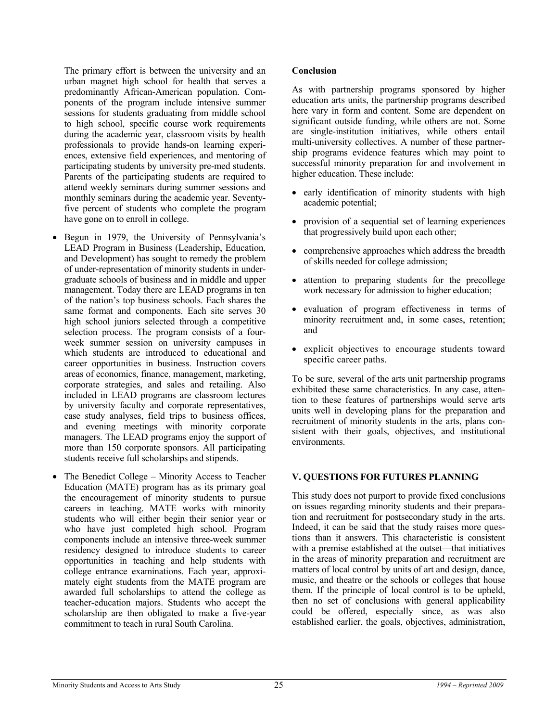The primary effort is between the university and an urban magnet high school for health that serves a predominantly African-American population. Components of the program include intensive summer sessions for students graduating from middle school to high school, specific course work requirements during the academic year, classroom visits by health professionals to provide hands-on learning experiences, extensive field experiences, and mentoring of participating students by university pre-med students. Parents of the participating students are required to attend weekly seminars during summer sessions and monthly seminars during the academic year. Seventyfive percent of students who complete the program have gone on to enroll in college.

- Begun in 1979, the University of Pennsylvania's LEAD Program in Business (Leadership, Education, and Development) has sought to remedy the problem of under-representation of minority students in undergraduate schools of business and in middle and upper management. Today there are LEAD programs in ten of the nation's top business schools. Each shares the same format and components. Each site serves 30 high school juniors selected through a competitive selection process. The program consists of a fourweek summer session on university campuses in which students are introduced to educational and career opportunities in business. Instruction covers areas of economics, finance, management, marketing, corporate strategies, and sales and retailing. Also included in LEAD programs are classroom lectures by university faculty and corporate representatives, case study analyses, field trips to business offices, and evening meetings with minority corporate managers. The LEAD programs enjoy the support of more than 150 corporate sponsors. All participating students receive full scholarships and stipends.
- The Benedict College Minority Access to Teacher Education (MATE) program has as its primary goal the encouragement of minority students to pursue careers in teaching. MATE works with minority students who will either begin their senior year or who have just completed high school. Program components include an intensive three-week summer residency designed to introduce students to career opportunities in teaching and help students with college entrance examinations. Each year, approximately eight students from the MATE program are awarded full scholarships to attend the college as teacher-education majors. Students who accept the scholarship are then obligated to make a five-year commitment to teach in rural South Carolina.

#### **Conclusion**

As with partnership programs sponsored by higher education arts units, the partnership programs described here vary in form and content. Some are dependent on significant outside funding, while others are not. Some are single-institution initiatives, while others entail multi-university collectives. A number of these partnership programs evidence features which may point to successful minority preparation for and involvement in higher education. These include:

- early identification of minority students with high academic potential;
- provision of a sequential set of learning experiences that progressively build upon each other;
- comprehensive approaches which address the breadth of skills needed for college admission;
- attention to preparing students for the precollege work necessary for admission to higher education;
- evaluation of program effectiveness in terms of minority recruitment and, in some cases, retention; and
- explicit objectives to encourage students toward specific career paths.

To be sure, several of the arts unit partnership programs exhibited these same characteristics. In any case, attention to these features of partnerships would serve arts units well in developing plans for the preparation and recruitment of minority students in the arts, plans consistent with their goals, objectives, and institutional environments.

#### **V. QUESTIONS FOR FUTURES PLANNING**

This study does not purport to provide fixed conclusions on issues regarding minority students and their preparation and recruitment for postsecondary study in the arts. Indeed, it can be said that the study raises more questions than it answers. This characteristic is consistent with a premise established at the outset—that initiatives in the areas of minority preparation and recruitment are matters of local control by units of art and design, dance, music, and theatre or the schools or colleges that house them. If the principle of local control is to be upheld, then no set of conclusions with general applicability could be offered, especially since, as was also established earlier, the goals, objectives, administration,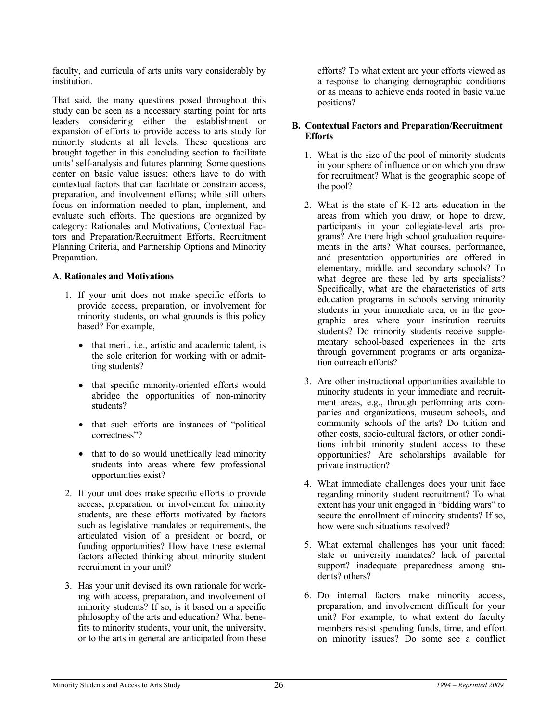faculty, and curricula of arts units vary considerably by institution.

That said, the many questions posed throughout this study can be seen as a necessary starting point for arts leaders considering either the establishment or expansion of efforts to provide access to arts study for minority students at all levels. These questions are brought together in this concluding section to facilitate units' self-analysis and futures planning. Some questions center on basic value issues; others have to do with contextual factors that can facilitate or constrain access, preparation, and involvement efforts; while still others focus on information needed to plan, implement, and evaluate such efforts. The questions are organized by category: Rationales and Motivations, Contextual Factors and Preparation/Recruitment Efforts, Recruitment Planning Criteria, and Partnership Options and Minority Preparation.

#### **A. Rationales and Motivations**

- 1. If your unit does not make specific efforts to provide access, preparation, or involvement for minority students, on what grounds is this policy based? For example,
	- that merit, i.e., artistic and academic talent, is the sole criterion for working with or admitting students?
	- that specific minority-oriented efforts would abridge the opportunities of non-minority students?
	- that such efforts are instances of "political" correctness"?
	- that to do so would unethically lead minority students into areas where few professional opportunities exist?
- 2. If your unit does make specific efforts to provide access, preparation, or involvement for minority students, are these efforts motivated by factors such as legislative mandates or requirements, the articulated vision of a president or board, or funding opportunities? How have these external factors affected thinking about minority student recruitment in your unit?
- 3. Has your unit devised its own rationale for working with access, preparation, and involvement of minority students? If so, is it based on a specific philosophy of the arts and education? What benefits to minority students, your unit, the university, or to the arts in general are anticipated from these

efforts? To what extent are your efforts viewed as a response to changing demographic conditions or as means to achieve ends rooted in basic value positions?

#### **B. Contextual Factors and Preparation/Recruitment Efforts**

- 1. What is the size of the pool of minority students in your sphere of influence or on which you draw for recruitment? What is the geographic scope of the pool?
- 2. What is the state of K-12 arts education in the areas from which you draw, or hope to draw, participants in your collegiate-level arts programs? Are there high school graduation requirements in the arts? What courses, performance, and presentation opportunities are offered in elementary, middle, and secondary schools? To what degree are these led by arts specialists? Specifically, what are the characteristics of arts education programs in schools serving minority students in your immediate area, or in the geographic area where your institution recruits students? Do minority students receive supplementary school-based experiences in the arts through government programs or arts organization outreach efforts?
- 3. Are other instructional opportunities available to minority students in your immediate and recruitment areas, e.g., through performing arts companies and organizations, museum schools, and community schools of the arts? Do tuition and other costs, socio-cultural factors, or other conditions inhibit minority student access to these opportunities? Are scholarships available for private instruction?
- 4. What immediate challenges does your unit face regarding minority student recruitment? To what extent has your unit engaged in "bidding wars" to secure the enrollment of minority students? If so, how were such situations resolved?
- 5. What external challenges has your unit faced: state or university mandates? lack of parental support? inadequate preparedness among students? others?
- 6. Do internal factors make minority access, preparation, and involvement difficult for your unit? For example, to what extent do faculty members resist spending funds, time, and effort on minority issues? Do some see a conflict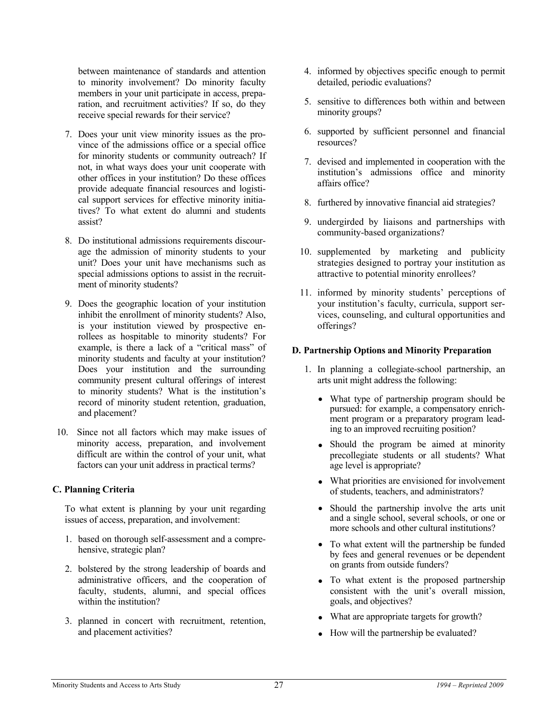between maintenance of standards and attention to minority involvement? Do minority faculty members in your unit participate in access, preparation, and recruitment activities? If so, do they receive special rewards for their service?

- 7. Does your unit view minority issues as the province of the admissions office or a special office for minority students or community outreach? If not, in what ways does your unit cooperate with other offices in your institution? Do these offices provide adequate financial resources and logistical support services for effective minority initiatives? To what extent do alumni and students assist?
- 8. Do institutional admissions requirements discourage the admission of minority students to your unit? Does your unit have mechanisms such as special admissions options to assist in the recruitment of minority students?
- 9. Does the geographic location of your institution inhibit the enrollment of minority students? Also, is your institution viewed by prospective enrollees as hospitable to minority students? For example, is there a lack of a "critical mass" of minority students and faculty at your institution? Does your institution and the surrounding community present cultural offerings of interest to minority students? What is the institution's record of minority student retention, graduation, and placement?
- 10. Since not all factors which may make issues of minority access, preparation, and involvement difficult are within the control of your unit, what factors can your unit address in practical terms?

#### **C. Planning Criteria**

To what extent is planning by your unit regarding issues of access, preparation, and involvement:

- 1. based on thorough self-assessment and a comprehensive, strategic plan?
- 2. bolstered by the strong leadership of boards and administrative officers, and the cooperation of faculty, students, alumni, and special offices within the institution?
- 3. planned in concert with recruitment, retention, and placement activities?
- 4. informed by objectives specific enough to permit detailed, periodic evaluations?
- 5. sensitive to differences both within and between minority groups?
- 6. supported by sufficient personnel and financial resources?
- 7. devised and implemented in cooperation with the institution's admissions office and minority affairs office?
- 8. furthered by innovative financial aid strategies?
- 9. undergirded by liaisons and partnerships with community-based organizations?
- 10. supplemented by marketing and publicity strategies designed to portray your institution as attractive to potential minority enrollees?
- 11. informed by minority students' perceptions of your institution's faculty, curricula, support services, counseling, and cultural opportunities and offerings?

#### **D. Partnership Options and Minority Preparation**

- 1. In planning a collegiate-school partnership, an arts unit might address the following:
	- What type of partnership program should be pursued: for example, a compensatory enrichment program or a preparatory program leading to an improved recruiting position?
	- Should the program be aimed at minority precollegiate students or all students? What age level is appropriate?
	- What priorities are envisioned for involvement of students, teachers, and administrators?
	- Should the partnership involve the arts unit and a single school, several schools, or one or more schools and other cultural institutions?
	- To what extent will the partnership be funded by fees and general revenues or be dependent on grants from outside funders?
	- To what extent is the proposed partnership consistent with the unit's overall mission, goals, and objectives?
	- What are appropriate targets for growth?
	- How will the partnership be evaluated?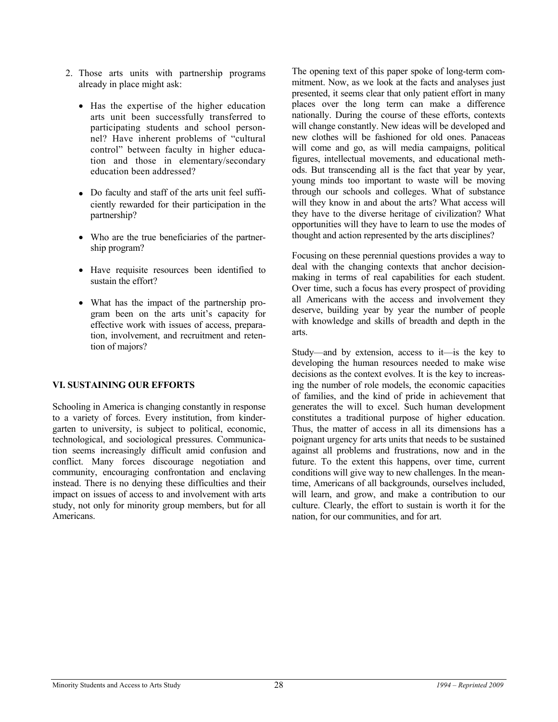- 2. Those arts units with partnership programs already in place might ask:
	- Has the expertise of the higher education arts unit been successfully transferred to participating students and school personnel? Have inherent problems of "cultural control" between faculty in higher education and those in elementary/secondary education been addressed?
	- Do faculty and staff of the arts unit feel sufficiently rewarded for their participation in the partnership?
	- Who are the true beneficiaries of the partnership program?
	- Have requisite resources been identified to sustain the effort?
	- What has the impact of the partnership program been on the arts unit's capacity for effective work with issues of access, preparation, involvement, and recruitment and retention of majors?

#### **VI. SUSTAINING OUR EFFORTS**

Schooling in America is changing constantly in response to a variety of forces. Every institution, from kindergarten to university, is subject to political, economic, technological, and sociological pressures. Communication seems increasingly difficult amid confusion and conflict. Many forces discourage negotiation and community, encouraging confrontation and enclaving instead. There is no denying these difficulties and their impact on issues of access to and involvement with arts study, not only for minority group members, but for all Americans.

The opening text of this paper spoke of long-term commitment. Now, as we look at the facts and analyses just presented, it seems clear that only patient effort in many places over the long term can make a difference nationally. During the course of these efforts, contexts will change constantly. New ideas will be developed and new clothes will be fashioned for old ones. Panaceas will come and go, as will media campaigns, political figures, intellectual movements, and educational methods. But transcending all is the fact that year by year, young minds too important to waste will be moving through our schools and colleges. What of substance will they know in and about the arts? What access will they have to the diverse heritage of civilization? What opportunities will they have to learn to use the modes of thought and action represented by the arts disciplines?

Focusing on these perennial questions provides a way to deal with the changing contexts that anchor decisionmaking in terms of real capabilities for each student. Over time, such a focus has every prospect of providing all Americans with the access and involvement they deserve, building year by year the number of people with knowledge and skills of breadth and depth in the arts.

Study—and by extension, access to it—is the key to developing the human resources needed to make wise decisions as the context evolves. It is the key to increasing the number of role models, the economic capacities of families, and the kind of pride in achievement that generates the will to excel. Such human development constitutes a traditional purpose of higher education. Thus, the matter of access in all its dimensions has a poignant urgency for arts units that needs to be sustained against all problems and frustrations, now and in the future. To the extent this happens, over time, current conditions will give way to new challenges. In the meantime, Americans of all backgrounds, ourselves included, will learn, and grow, and make a contribution to our culture. Clearly, the effort to sustain is worth it for the nation, for our communities, and for art.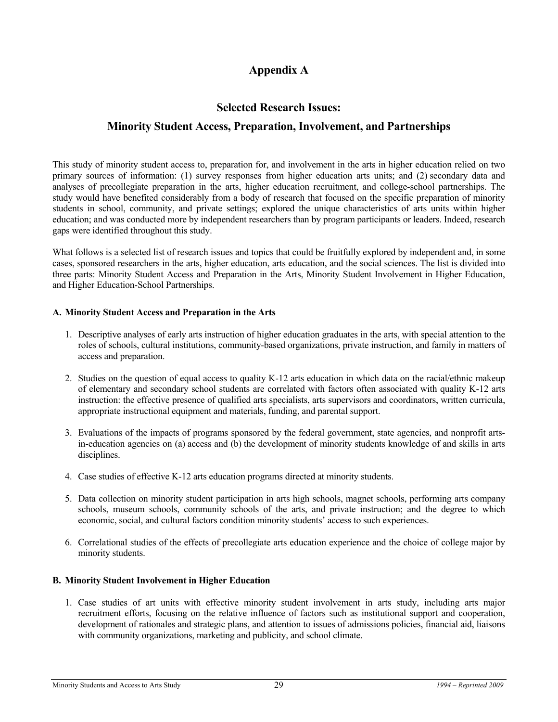# **Appendix A**

# **Selected Research Issues:**

# **Minority Student Access, Preparation, Involvement, and Partnerships**

This study of minority student access to, preparation for, and involvement in the arts in higher education relied on two primary sources of information: (1) survey responses from higher education arts units; and (2) secondary data and analyses of precollegiate preparation in the arts, higher education recruitment, and college-school partnerships. The study would have benefited considerably from a body of research that focused on the specific preparation of minority students in school, community, and private settings; explored the unique characteristics of arts units within higher education; and was conducted more by independent researchers than by program participants or leaders. Indeed, research gaps were identified throughout this study.

What follows is a selected list of research issues and topics that could be fruitfully explored by independent and, in some cases, sponsored researchers in the arts, higher education, arts education, and the social sciences. The list is divided into three parts: Minority Student Access and Preparation in the Arts, Minority Student Involvement in Higher Education, and Higher Education-School Partnerships.

#### **A. Minority Student Access and Preparation in the Arts**

- 1. Descriptive analyses of early arts instruction of higher education graduates in the arts, with special attention to the roles of schools, cultural institutions, community-based organizations, private instruction, and family in matters of access and preparation.
- 2. Studies on the question of equal access to quality K-12 arts education in which data on the racial/ethnic makeup of elementary and secondary school students are correlated with factors often associated with quality K-12 arts instruction: the effective presence of qualified arts specialists, arts supervisors and coordinators, written curricula, appropriate instructional equipment and materials, funding, and parental support.
- 3. Evaluations of the impacts of programs sponsored by the federal government, state agencies, and nonprofit artsin-education agencies on (a) access and (b) the development of minority students knowledge of and skills in arts disciplines.
- 4. Case studies of effective K-12 arts education programs directed at minority students.
- 5. Data collection on minority student participation in arts high schools, magnet schools, performing arts company schools, museum schools, community schools of the arts, and private instruction; and the degree to which economic, social, and cultural factors condition minority students' access to such experiences.
- 6. Correlational studies of the effects of precollegiate arts education experience and the choice of college major by minority students.

#### **B. Minority Student Involvement in Higher Education**

1. Case studies of art units with effective minority student involvement in arts study, including arts major recruitment efforts, focusing on the relative influence of factors such as institutional support and cooperation, development of rationales and strategic plans, and attention to issues of admissions policies, financial aid, liaisons with community organizations, marketing and publicity, and school climate.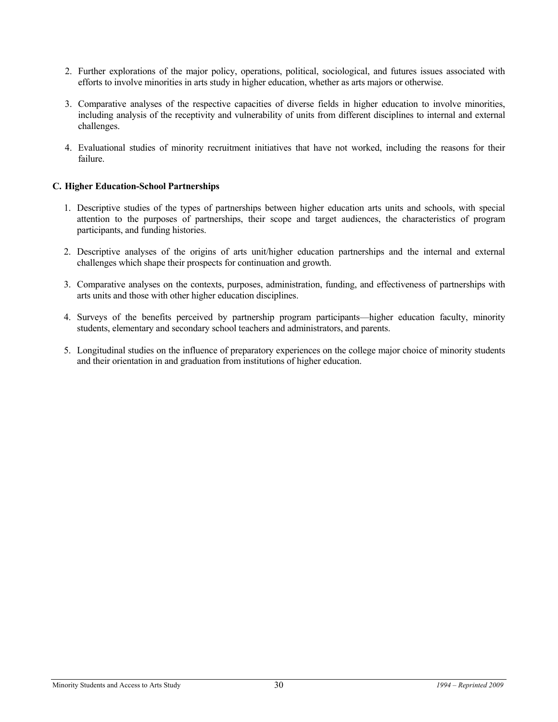- 2. Further explorations of the major policy, operations, political, sociological, and futures issues associated with efforts to involve minorities in arts study in higher education, whether as arts majors or otherwise.
- 3. Comparative analyses of the respective capacities of diverse fields in higher education to involve minorities, including analysis of the receptivity and vulnerability of units from different disciplines to internal and external challenges.
- 4. Evaluational studies of minority recruitment initiatives that have not worked, including the reasons for their failure.

#### **C. Higher Education-School Partnerships**

- 1. Descriptive studies of the types of partnerships between higher education arts units and schools, with special attention to the purposes of partnerships, their scope and target audiences, the characteristics of program participants, and funding histories.
- 2. Descriptive analyses of the origins of arts unit/higher education partnerships and the internal and external challenges which shape their prospects for continuation and growth.
- 3. Comparative analyses on the contexts, purposes, administration, funding, and effectiveness of partnerships with arts units and those with other higher education disciplines.
- 4. Surveys of the benefits perceived by partnership program participants—higher education faculty, minority students, elementary and secondary school teachers and administrators, and parents.
- 5. Longitudinal studies on the influence of preparatory experiences on the college major choice of minority students and their orientation in and graduation from institutions of higher education.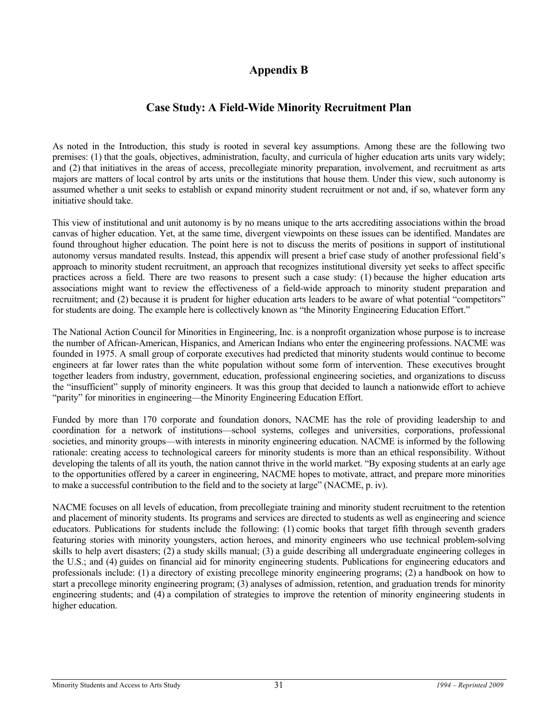# **Appendix B**

### **Case Study: A Field-Wide Minority Recruitment Plan**

As noted in the Introduction, this study is rooted in several key assumptions. Among these are the following two premises: (1) that the goals, objectives, administration, faculty, and curricula of higher education arts units vary widely; and (2) that initiatives in the areas of access, precollegiate minority preparation, involvement, and recruitment as arts majors are matters of local control by arts units or the institutions that house them. Under this view, such autonomy is assumed whether a unit seeks to establish or expand minority student recruitment or not and, if so, whatever form any initiative should take.

This view of institutional and unit autonomy is by no means unique to the arts accrediting associations within the broad canvas of higher education. Yet, at the same time, divergent viewpoints on these issues can be identified. Mandates are found throughout higher education. The point here is not to discuss the merits of positions in support of institutional autonomy versus mandated results. Instead, this appendix will present a brief case study of another professional field's approach to minority student recruitment, an approach that recognizes institutional diversity yet seeks to affect specific practices across a field. There are two reasons to present such a case study: (1) because the higher education arts associations might want to review the effectiveness of a field-wide approach to minority student preparation and recruitment; and (2) because it is prudent for higher education arts leaders to be aware of what potential "competitors" for students are doing. The example here is collectively known as "the Minority Engineering Education Effort."

The National Action Council for Minorities in Engineering, Inc. is a nonprofit organization whose purpose is to increase the number of African-American, Hispanics, and American Indians who enter the engineering professions. NACME was founded in 1975. A small group of corporate executives had predicted that minority students would continue to become engineers at far lower rates than the white population without some form of intervention. These executives brought together leaders from industry, government, education, professional engineering societies, and organizations to discuss the "insufficient" supply of minority engineers. It was this group that decided to launch a nationwide effort to achieve "parity" for minorities in engineering—the Minority Engineering Education Effort.

Funded by more than 170 corporate and foundation donors, NACME has the role of providing leadership to and coordination for a network of institutions—school systems, colleges and universities, corporations, professional societies, and minority groups—with interests in minority engineering education. NACME is informed by the following rationale: creating access to technological careers for minority students is more than an ethical responsibility. Without developing the talents of all its youth, the nation cannot thrive in the world market. "By exposing students at an early age to the opportunities offered by a career in engineering, NACME hopes to motivate, attract, and prepare more minorities to make a successful contribution to the field and to the society at large" (NACME, p. iv).

NACME focuses on all levels of education, from precollegiate training and minority student recruitment to the retention and placement of minority students. Its programs and services are directed to students as well as engineering and science educators. Publications for students include the following: (1) comic books that target fifth through seventh graders featuring stories with minority youngsters, action heroes, and minority engineers who use technical problem-solving skills to help avert disasters; (2) a study skills manual; (3) a guide describing all undergraduate engineering colleges in the U.S.; and (4) guides on financial aid for minority engineering students. Publications for engineering educators and professionals include: (1) a directory of existing precollege minority engineering programs; (2) a handbook on how to start a precollege minority engineering program; (3) analyses of admission, retention, and graduation trends for minority engineering students; and (4) a compilation of strategies to improve the retention of minority engineering students in higher education.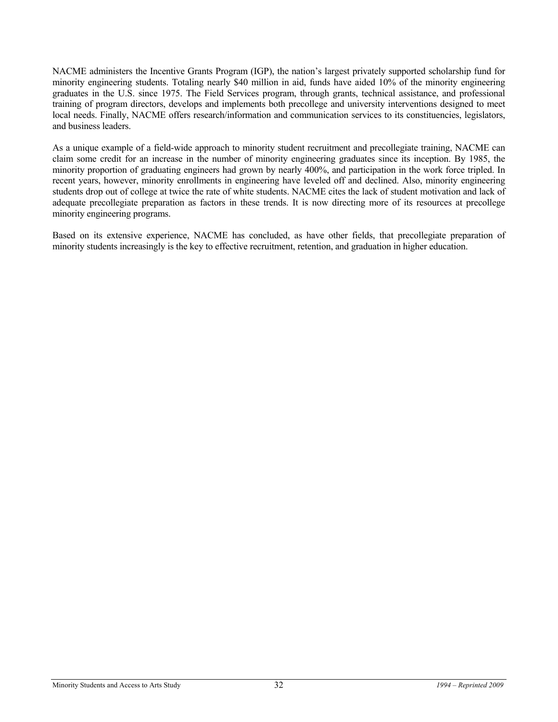NACME administers the Incentive Grants Program (IGP), the nation's largest privately supported scholarship fund for minority engineering students. Totaling nearly \$40 million in aid, funds have aided 10% of the minority engineering graduates in the U.S. since 1975. The Field Services program, through grants, technical assistance, and professional training of program directors, develops and implements both precollege and university interventions designed to meet local needs. Finally, NACME offers research/information and communication services to its constituencies, legislators, and business leaders.

As a unique example of a field-wide approach to minority student recruitment and precollegiate training, NACME can claim some credit for an increase in the number of minority engineering graduates since its inception. By 1985, the minority proportion of graduating engineers had grown by nearly 400%, and participation in the work force tripled. In recent years, however, minority enrollments in engineering have leveled off and declined. Also, minority engineering students drop out of college at twice the rate of white students. NACME cites the lack of student motivation and lack of adequate precollegiate preparation as factors in these trends. It is now directing more of its resources at precollege minority engineering programs.

Based on its extensive experience, NACME has concluded, as have other fields, that precollegiate preparation of minority students increasingly is the key to effective recruitment, retention, and graduation in higher education.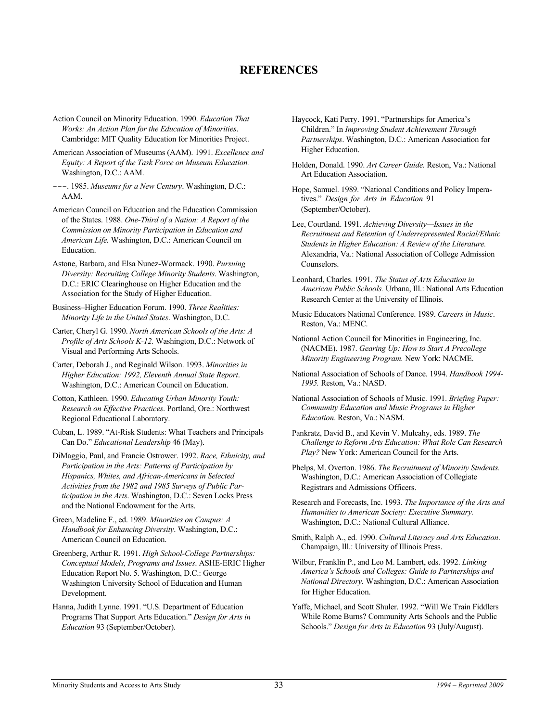### **REFERENCES**

- Action Council on Minority Education. 1990. *Education That Works: An Action Plan for the Education of Minorities*. Cambridge: MIT Quality Education for Minorities Project.
- American Association of Museums (AAM). 1991. *Excellence and Equity: A Report of the Task Force on Museum Education.* Washington, D.C.: AAM.
- ---. 1985. *Museums for a New Century*. Washington, D.C.: AAM.
- American Council on Education and the Education Commission of the States. 1988. *One-Third of a Nation: A Report of the Commission on Minority Participation in Education and American Life.* Washington, D.C.: American Council on Education.
- Astone, Barbara, and Elsa Nunez-Wormack. 1990. *Pursuing Diversity: Recruiting College Minority Students*. Washington, D.C.: ERIC Clearinghouse on Higher Education and the Association for the Study of Higher Education.
- Business–Higher Education Forum. 1990. *Three Realities: Minority Life in the United States*. Washington, D.C.
- Carter, Cheryl G. 1990. *North American Schools of the Arts: A Profile of Arts Schools K-12.* Washington, D.C.: Network of Visual and Performing Arts Schools.
- Carter, Deborah J., and Reginald Wilson. 1993. *Minorities in Higher Education: 1992, Eleventh Annual State Report*. Washington, D.C.: American Council on Education.
- Cotton, Kathleen. 1990. *Educating Urban Minority Youth: Research on Effective Practices*. Portland, Ore.: Northwest Regional Educational Laboratory.
- Cuban, L. 1989. "At-Risk Students: What Teachers and Principals Can Do." *Educational Leadership* 46 (May).
- DiMaggio, Paul, and Francie Ostrower. 1992. *Race, Ethnicity, and Participation in the Arts: Patterns of Participation by Hispanics, Whites, and African-Americans in Selected Activities from the 1982 and 1985 Surveys of Public Participation in the Arts*. Washington, D.C.: Seven Locks Press and the National Endowment for the Arts.
- Green, Madeline F., ed. 1989. *Minorities on Campus: A Handbook for Enhancing Diversity*. Washington, D.C.: American Council on Education.
- Greenberg, Arthur R. 1991. *High School-College Partnerships: Conceptual Models, Programs and Issues*. ASHE-ERIC Higher Education Report No. 5. Washington, D.C.: George Washington University School of Education and Human Development.
- Hanna, Judith Lynne. 1991. "U.S. Department of Education Programs That Support Arts Education." *Design for Arts in Education* 93 (September/October).
- Haycock, Kati Perry. 1991. "Partnerships for America's Children." In *Improving Student Achievement Through Partnerships*. Washington, D.C.: American Association for Higher Education.
- Holden, Donald. 1990. *Art Career Guide.* Reston, Va.: National Art Education Association.
- Hope, Samuel. 1989. "National Conditions and Policy Imperatives." *Design for Arts in Education* 91 (September/October).
- Lee, Courtland. 1991. *Achieving Diversity—Issues in the Recruitment and Retention of Underrepresented Racial/Ethnic Students in Higher Education: A Review of the Literature.* Alexandria, Va.: National Association of College Admission Counselors.
- Leonhard, Charles. 1991. *The Status of Arts Education in American Public Schools.* Urbana, Ill.: National Arts Education Research Center at the University of Illinois.
- Music Educators National Conference. 1989. *Careers in Music*. Reston, Va.: MENC.
- National Action Council for Minorities in Engineering, Inc. (NACME). 1987. *Gearing Up: How to Start A Precollege Minority Engineering Program.* New York: NACME.
- National Association of Schools of Dance. 1994. *Handbook 1994- 1995.* Reston, Va.: NASD.
- National Association of Schools of Music. 1991. *Briefing Paper: Community Education and Music Programs in Higher Education*. Reston, Va.: NASM.
- Pankratz, David B., and Kevin V. Mulcahy, eds. 1989. *The Challenge to Reform Arts Education: What Role Can Research Play?* New York: American Council for the Arts.
- Phelps, M. Overton. 1986. *The Recruitment of Minority Students.* Washington, D.C.: American Association of Collegiate Registrars and Admissions Officers.
- Research and Forecasts, Inc. 1993. *The Importance of the Arts and Humanities to American Society: Executive Summary.* Washington, D.C.: National Cultural Alliance.
- Smith, Ralph A., ed. 1990. *Cultural Literacy and Arts Education*. Champaign, Ill.: University of Illinois Press.
- Wilbur, Franklin P., and Leo M. Lambert, eds. 1992. *Linking America's Schools and Colleges: Guide to Partnerships and National Directory.* Washington, D.C.: American Association for Higher Education.
- Yaffe, Michael, and Scott Shuler. 1992. "Will We Train Fiddlers While Rome Burns? Community Arts Schools and the Public Schools." *Design for Arts in Education* 93 (July/August).